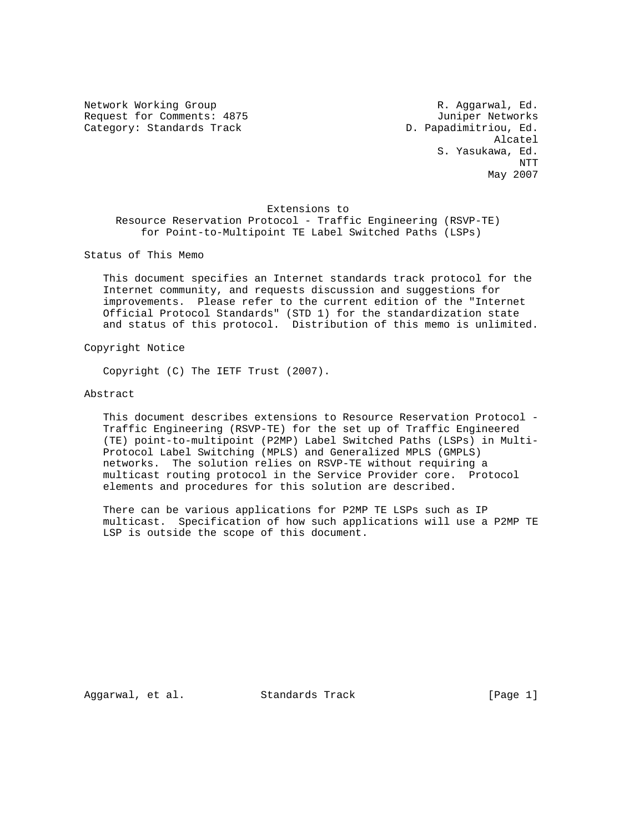Request for Comments: 4875 Juniper Networks Category: Standards Track D. Papadimitriou, Ed.

Network Working Group **R. Aggarwal**, Ed. Alcatel S. Yasukawa, Ed. NTT May 2007

#### Extensions to

 Resource Reservation Protocol - Traffic Engineering (RSVP-TE) for Point-to-Multipoint TE Label Switched Paths (LSPs)

Status of This Memo

 This document specifies an Internet standards track protocol for the Internet community, and requests discussion and suggestions for improvements. Please refer to the current edition of the "Internet Official Protocol Standards" (STD 1) for the standardization state and status of this protocol. Distribution of this memo is unlimited.

Copyright Notice

Copyright (C) The IETF Trust (2007).

Abstract

 This document describes extensions to Resource Reservation Protocol - Traffic Engineering (RSVP-TE) for the set up of Traffic Engineered (TE) point-to-multipoint (P2MP) Label Switched Paths (LSPs) in Multi- Protocol Label Switching (MPLS) and Generalized MPLS (GMPLS) networks. The solution relies on RSVP-TE without requiring a multicast routing protocol in the Service Provider core. Protocol elements and procedures for this solution are described.

 There can be various applications for P2MP TE LSPs such as IP multicast. Specification of how such applications will use a P2MP TE LSP is outside the scope of this document.

Aggarwal, et al. Standards Track [Page 1]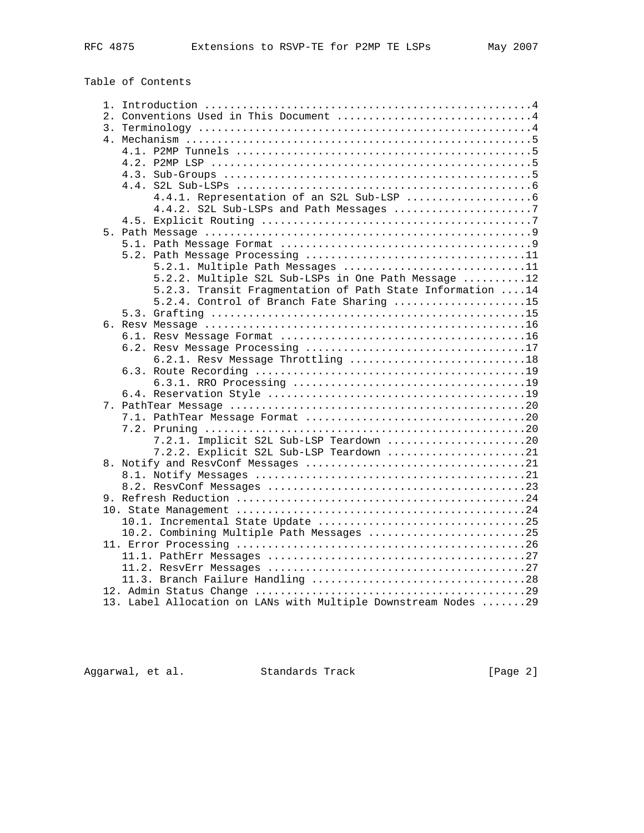| Table of Contents |  |
|-------------------|--|
|-------------------|--|

|                  | 2. Conventions Used in This Document 4                         |  |
|------------------|----------------------------------------------------------------|--|
| $\overline{3}$ . |                                                                |  |
|                  |                                                                |  |
|                  |                                                                |  |
|                  |                                                                |  |
|                  |                                                                |  |
|                  |                                                                |  |
|                  |                                                                |  |
|                  | 4.4.2. S2L Sub-LSPs and Path Messages 7                        |  |
|                  |                                                                |  |
|                  |                                                                |  |
|                  |                                                                |  |
|                  |                                                                |  |
|                  | 5.2.1. Multiple Path Messages 11                               |  |
|                  | 5.2.2. Multiple S2L Sub-LSPs in One Path Message 12            |  |
|                  | 5.2.3. Transit Fragmentation of Path State Information  14     |  |
|                  | 5.2.4. Control of Branch Fate Sharing 15                       |  |
|                  |                                                                |  |
|                  |                                                                |  |
|                  |                                                                |  |
|                  |                                                                |  |
|                  | 6.2.1. Resv Message Throttling 18                              |  |
|                  |                                                                |  |
|                  |                                                                |  |
|                  |                                                                |  |
|                  |                                                                |  |
|                  |                                                                |  |
|                  |                                                                |  |
|                  | 7.2.1. Implicit S2L Sub-LSP Teardown 20                        |  |
|                  | 7.2.2. Explicit S2L Sub-LSP Teardown 21                        |  |
|                  |                                                                |  |
|                  |                                                                |  |
|                  |                                                                |  |
|                  |                                                                |  |
|                  |                                                                |  |
|                  |                                                                |  |
|                  | 10.2. Combining Multiple Path Messages 25                      |  |
|                  |                                                                |  |
|                  |                                                                |  |
|                  |                                                                |  |
|                  |                                                                |  |
|                  | 13. Label Allocation on LANs with Multiple Downstream Nodes 29 |  |
|                  |                                                                |  |

Aggarwal, et al. Standards Track (Page 2)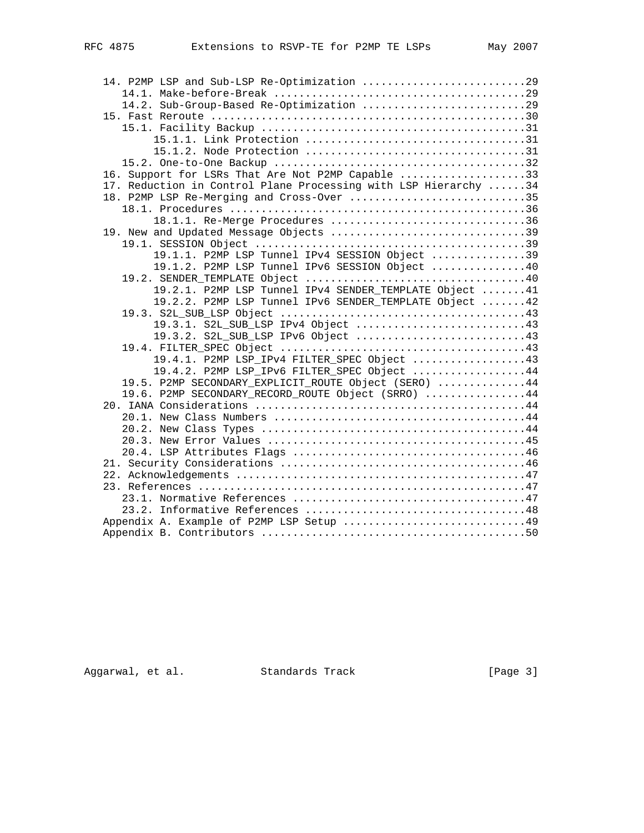| 14. P2MP LSP and Sub-LSP Re-Optimization 29                                                                |  |
|------------------------------------------------------------------------------------------------------------|--|
|                                                                                                            |  |
| 14.2. Sub-Group-Based Re-Optimization 29                                                                   |  |
|                                                                                                            |  |
|                                                                                                            |  |
|                                                                                                            |  |
|                                                                                                            |  |
|                                                                                                            |  |
| 16. Support for LSRs That Are Not P2MP Capable 33                                                          |  |
| 17. Reduction in Control Plane Processing with LSP Hierarchy 34                                            |  |
| 18. P2MP LSP Re-Merging and Cross-Over 35                                                                  |  |
|                                                                                                            |  |
| 18.1.1. Re-Merge Procedures 36                                                                             |  |
| 19. New and Updated Message Objects 39                                                                     |  |
|                                                                                                            |  |
| 19.1.1. P2MP LSP Tunnel IPv4 SESSION Object 39                                                             |  |
| 19.1.2. P2MP LSP Tunnel IPv6 SESSION Object 40                                                             |  |
|                                                                                                            |  |
| 19.2.1. P2MP LSP Tunnel IPv4 SENDER TEMPLATE Object 41                                                     |  |
| 19.2.2. P2MP LSP Tunnel IPv6 SENDER_TEMPLATE Object  42                                                    |  |
|                                                                                                            |  |
| 19.3.1. S2L_SUB_LSP IPv4 Object 43                                                                         |  |
| 19.3.2. S2L_SUB_LSP IPv6 Object 43                                                                         |  |
|                                                                                                            |  |
| 19.4.1. P2MP LSP_IPv4 FILTER_SPEC Object 43                                                                |  |
| 19.4.2. P2MP LSP_IPv6 FILTER_SPEC Object 44                                                                |  |
| 19.5. P2MP SECONDARY EXPLICIT ROUTE Object (SERO) 44<br>19.6. P2MP SECONDARY_RECORD_ROUTE Object (SRRO) 44 |  |
|                                                                                                            |  |
|                                                                                                            |  |
|                                                                                                            |  |
|                                                                                                            |  |
|                                                                                                            |  |
|                                                                                                            |  |
|                                                                                                            |  |
|                                                                                                            |  |
|                                                                                                            |  |
|                                                                                                            |  |
| Appendix A. Example of P2MP LSP Setup 49                                                                   |  |
|                                                                                                            |  |
|                                                                                                            |  |

Aggarwal, et al. Standards Track [Page 3]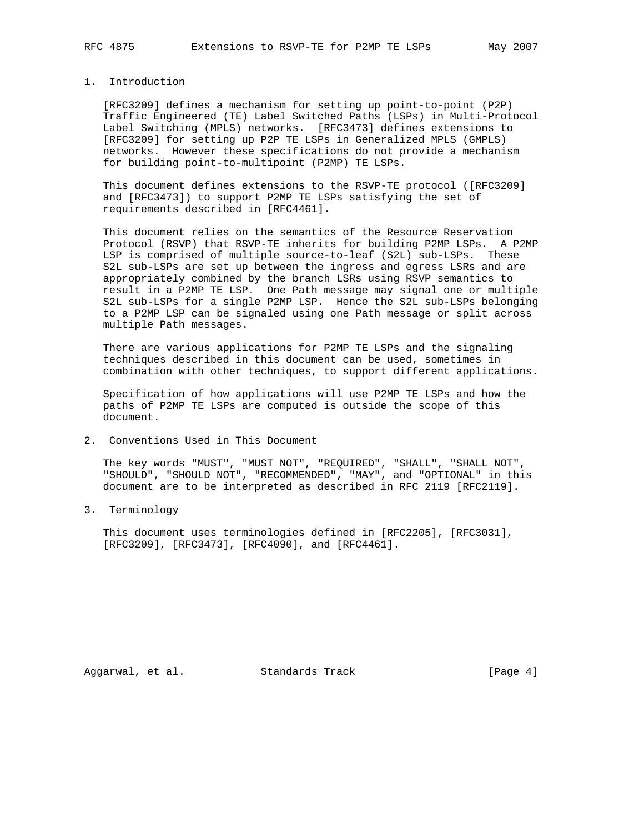## 1. Introduction

 [RFC3209] defines a mechanism for setting up point-to-point (P2P) Traffic Engineered (TE) Label Switched Paths (LSPs) in Multi-Protocol Label Switching (MPLS) networks. [RFC3473] defines extensions to [RFC3209] for setting up P2P TE LSPs in Generalized MPLS (GMPLS) networks. However these specifications do not provide a mechanism for building point-to-multipoint (P2MP) TE LSPs.

 This document defines extensions to the RSVP-TE protocol ([RFC3209] and [RFC3473]) to support P2MP TE LSPs satisfying the set of requirements described in [RFC4461].

 This document relies on the semantics of the Resource Reservation Protocol (RSVP) that RSVP-TE inherits for building P2MP LSPs. A P2MP LSP is comprised of multiple source-to-leaf (S2L) sub-LSPs. These S2L sub-LSPs are set up between the ingress and egress LSRs and are appropriately combined by the branch LSRs using RSVP semantics to result in a P2MP TE LSP. One Path message may signal one or multiple S2L sub-LSPs for a single P2MP LSP. Hence the S2L sub-LSPs belonging to a P2MP LSP can be signaled using one Path message or split across multiple Path messages.

 There are various applications for P2MP TE LSPs and the signaling techniques described in this document can be used, sometimes in combination with other techniques, to support different applications.

 Specification of how applications will use P2MP TE LSPs and how the paths of P2MP TE LSPs are computed is outside the scope of this document.

2. Conventions Used in This Document

 The key words "MUST", "MUST NOT", "REQUIRED", "SHALL", "SHALL NOT", "SHOULD", "SHOULD NOT", "RECOMMENDED", "MAY", and "OPTIONAL" in this document are to be interpreted as described in RFC 2119 [RFC2119].

3. Terminology

 This document uses terminologies defined in [RFC2205], [RFC3031], [RFC3209], [RFC3473], [RFC4090], and [RFC4461].

Aggarwal, et al. Standards Track [Page 4]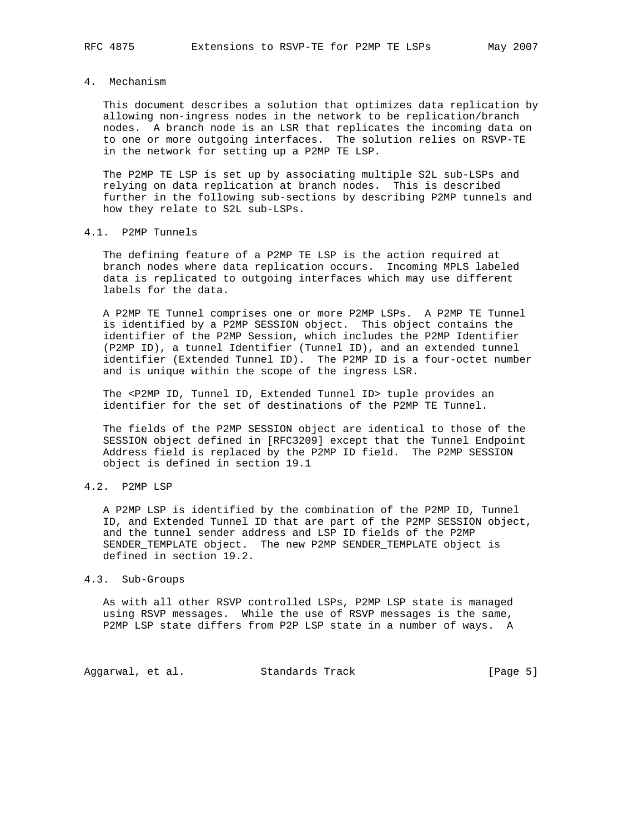## 4. Mechanism

 This document describes a solution that optimizes data replication by allowing non-ingress nodes in the network to be replication/branch nodes. A branch node is an LSR that replicates the incoming data on to one or more outgoing interfaces. The solution relies on RSVP-TE in the network for setting up a P2MP TE LSP.

 The P2MP TE LSP is set up by associating multiple S2L sub-LSPs and relying on data replication at branch nodes. This is described further in the following sub-sections by describing P2MP tunnels and how they relate to S2L sub-LSPs.

## 4.1. P2MP Tunnels

 The defining feature of a P2MP TE LSP is the action required at branch nodes where data replication occurs. Incoming MPLS labeled data is replicated to outgoing interfaces which may use different labels for the data.

 A P2MP TE Tunnel comprises one or more P2MP LSPs. A P2MP TE Tunnel is identified by a P2MP SESSION object. This object contains the identifier of the P2MP Session, which includes the P2MP Identifier (P2MP ID), a tunnel Identifier (Tunnel ID), and an extended tunnel identifier (Extended Tunnel ID). The P2MP ID is a four-octet number and is unique within the scope of the ingress LSR.

 The <P2MP ID, Tunnel ID, Extended Tunnel ID> tuple provides an identifier for the set of destinations of the P2MP TE Tunnel.

 The fields of the P2MP SESSION object are identical to those of the SESSION object defined in [RFC3209] except that the Tunnel Endpoint Address field is replaced by the P2MP ID field. The P2MP SESSION object is defined in section 19.1

#### 4.2. P2MP LSP

 A P2MP LSP is identified by the combination of the P2MP ID, Tunnel ID, and Extended Tunnel ID that are part of the P2MP SESSION object, and the tunnel sender address and LSP ID fields of the P2MP SENDER\_TEMPLATE object. The new P2MP SENDER\_TEMPLATE object is defined in section 19.2.

#### 4.3. Sub-Groups

 As with all other RSVP controlled LSPs, P2MP LSP state is managed using RSVP messages. While the use of RSVP messages is the same, P2MP LSP state differs from P2P LSP state in a number of ways. A

Aggarwal, et al. Standards Track [Page 5]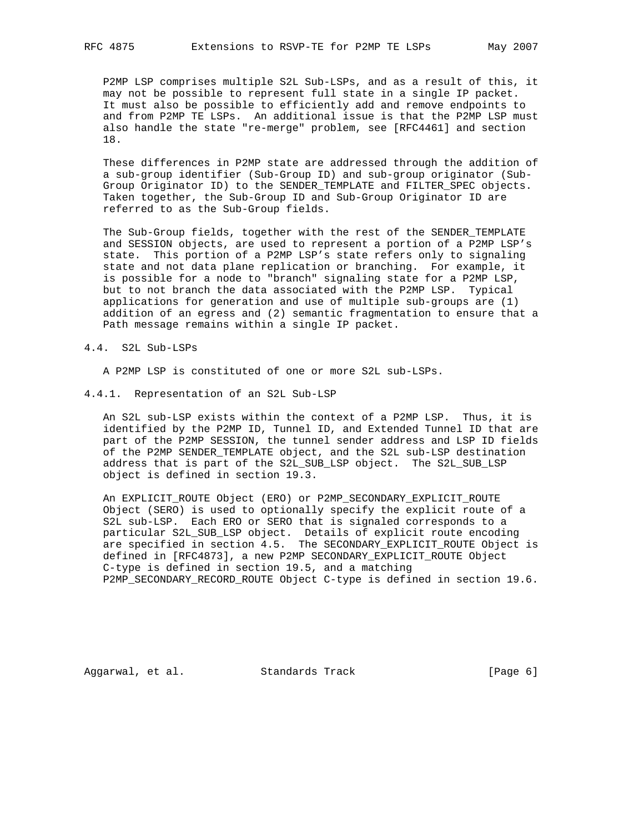P2MP LSP comprises multiple S2L Sub-LSPs, and as a result of this, it may not be possible to represent full state in a single IP packet. It must also be possible to efficiently add and remove endpoints to and from P2MP TE LSPs. An additional issue is that the P2MP LSP must also handle the state "re-merge" problem, see [RFC4461] and section 18.

 These differences in P2MP state are addressed through the addition of a sub-group identifier (Sub-Group ID) and sub-group originator (Sub- Group Originator ID) to the SENDER\_TEMPLATE and FILTER\_SPEC objects. Taken together, the Sub-Group ID and Sub-Group Originator ID are referred to as the Sub-Group fields.

 The Sub-Group fields, together with the rest of the SENDER\_TEMPLATE and SESSION objects, are used to represent a portion of a P2MP LSP's state. This portion of a P2MP LSP's state refers only to signaling state and not data plane replication or branching. For example, it is possible for a node to "branch" signaling state for a P2MP LSP, but to not branch the data associated with the P2MP LSP. Typical applications for generation and use of multiple sub-groups are (1) addition of an egress and (2) semantic fragmentation to ensure that a Path message remains within a single IP packet.

#### 4.4. S2L Sub-LSPs

A P2MP LSP is constituted of one or more S2L sub-LSPs.

4.4.1. Representation of an S2L Sub-LSP

 An S2L sub-LSP exists within the context of a P2MP LSP. Thus, it is identified by the P2MP ID, Tunnel ID, and Extended Tunnel ID that are part of the P2MP SESSION, the tunnel sender address and LSP ID fields of the P2MP SENDER\_TEMPLATE object, and the S2L sub-LSP destination address that is part of the S2L\_SUB\_LSP object. The S2L\_SUB\_LSP object is defined in section 19.3.

 An EXPLICIT\_ROUTE Object (ERO) or P2MP\_SECONDARY\_EXPLICIT\_ROUTE Object (SERO) is used to optionally specify the explicit route of a S2L sub-LSP. Each ERO or SERO that is signaled corresponds to a particular S2L\_SUB\_LSP object. Details of explicit route encoding are specified in section 4.5. The SECONDARY\_EXPLICIT\_ROUTE Object is defined in [RFC4873], a new P2MP SECONDARY\_EXPLICIT\_ROUTE Object C-type is defined in section 19.5, and a matching P2MP\_SECONDARY\_RECORD\_ROUTE Object C-type is defined in section 19.6.

Aggarwal, et al. Standards Track [Page 6]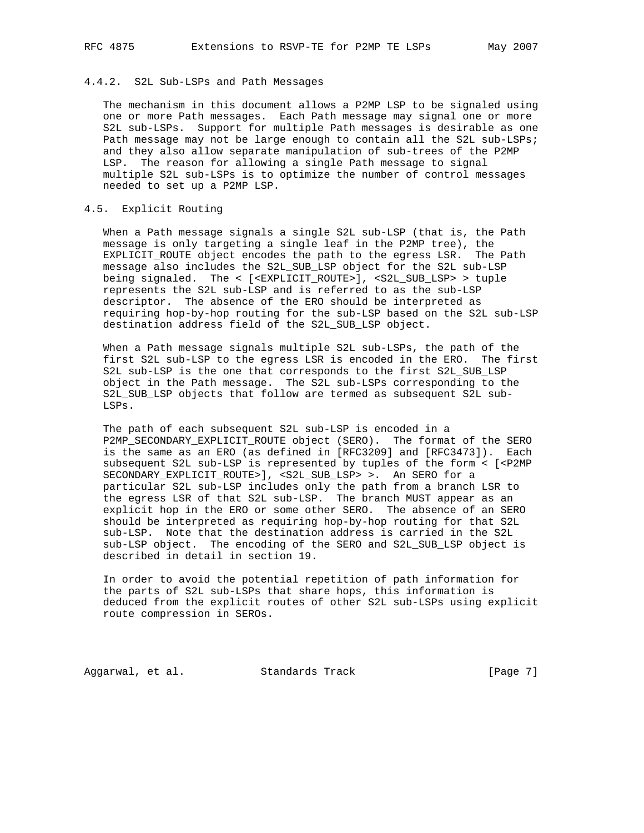#### 4.4.2. S2L Sub-LSPs and Path Messages

 The mechanism in this document allows a P2MP LSP to be signaled using one or more Path messages. Each Path message may signal one or more S2L sub-LSPs. Support for multiple Path messages is desirable as one Path message may not be large enough to contain all the S2L sub-LSPs; and they also allow separate manipulation of sub-trees of the P2MP LSP. The reason for allowing a single Path message to signal multiple S2L sub-LSPs is to optimize the number of control messages needed to set up a P2MP LSP.

## 4.5. Explicit Routing

 When a Path message signals a single S2L sub-LSP (that is, the Path message is only targeting a single leaf in the P2MP tree), the EXPLICIT\_ROUTE object encodes the path to the egress LSR. The Path message also includes the S2L\_SUB\_LSP object for the S2L sub-LSP being signaled. The < [<EXPLICIT\_ROUTE>], <S2L\_SUB\_LSP> > tuple represents the S2L sub-LSP and is referred to as the sub-LSP descriptor. The absence of the ERO should be interpreted as requiring hop-by-hop routing for the sub-LSP based on the S2L sub-LSP destination address field of the S2L\_SUB\_LSP object.

 When a Path message signals multiple S2L sub-LSPs, the path of the first S2L sub-LSP to the egress LSR is encoded in the ERO. The first S2L sub-LSP is the one that corresponds to the first S2L\_SUB\_LSP object in the Path message. The S2L sub-LSPs corresponding to the S2L SUB LSP objects that follow are termed as subsequent S2L sub-LSPs.

 The path of each subsequent S2L sub-LSP is encoded in a P2MP\_SECONDARY\_EXPLICIT\_ROUTE object (SERO). The format of the SERO is the same as an ERO (as defined in [RFC3209] and [RFC3473]). Each subsequent S2L sub-LSP is represented by tuples of the form < [<P2MP SECONDARY\_EXPLICIT\_ROUTE>], <S2L\_SUB\_LSP> >. An SERO for a particular S2L sub-LSP includes only the path from a branch LSR to the egress LSR of that S2L sub-LSP. The branch MUST appear as an explicit hop in the ERO or some other SERO. The absence of an SERO should be interpreted as requiring hop-by-hop routing for that S2L sub-LSP. Note that the destination address is carried in the S2L sub-LSP object. The encoding of the SERO and S2L\_SUB\_LSP object is described in detail in section 19.

 In order to avoid the potential repetition of path information for the parts of S2L sub-LSPs that share hops, this information is deduced from the explicit routes of other S2L sub-LSPs using explicit route compression in SEROs.

Aggarwal, et al. Standards Track [Page 7]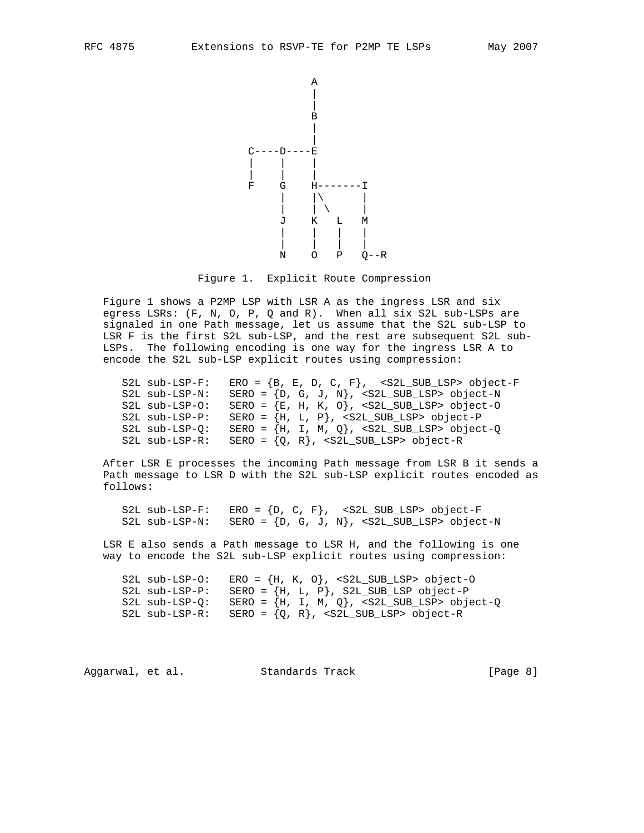

Figure 1. Explicit Route Compression

 Figure 1 shows a P2MP LSP with LSR A as the ingress LSR and six egress LSRs: (F, N, O, P, Q and R). When all six S2L sub-LSPs are signaled in one Path message, let us assume that the S2L sub-LSP to LSR F is the first S2L sub-LSP, and the rest are subsequent S2L sub- LSPs. The following encoding is one way for the ingress LSR A to encode the S2L sub-LSP explicit routes using compression:

| S2L sub-LSP-F:       | ERO = ${B, E, D, C, F}$ , <s2l_sub_lsp> object-F</s2l_sub_lsp> |  |  |  |
|----------------------|----------------------------------------------------------------|--|--|--|
| S2L sub-LSP-N:       | SERO = {D, G, J, N}, <s2l_sub_lsp> object-N</s2l_sub_lsp>      |  |  |  |
| $S2L$ sub- $LSP-O$ : | SERO = $\{E, H, K, O\}$ , <s2l_sub_lsp> object-0</s2l_sub_lsp> |  |  |  |
| S2L sub-LSP-P:       | SERO = ${H, L, P}$ , <s2l_sub_lsp> object-P</s2l_sub_lsp>      |  |  |  |
| $S2L$ sub-LSP- $O:$  | SERO = $\{H, I, M, Q\}$ , <s2l_sub_lsp> object-Q</s2l_sub_lsp> |  |  |  |
| $S2L$ sub- $LSP-R$ : | SERO = ${Q, R}$ , <s2l_sub_lsp> object-R</s2l_sub_lsp>         |  |  |  |

 After LSR E processes the incoming Path message from LSR B it sends a Path message to LSR D with the S2L sub-LSP explicit routes encoded as follows:

S2L sub-LSP-F: ERO =  $\{D, C, F\}$ , <S2L\_SUB\_LSP> object-F S2L sub-LSP-N: SERO =  $\{D, G, J, N\}$ , <S2L\_SUB\_LSP> object-N

 LSR E also sends a Path message to LSR H, and the following is one way to encode the S2L sub-LSP explicit routes using compression:

S2L sub-LSP-O: ERO =  ${H, K, O}$ , <S2L\_SUB\_LSP> object-O S2L sub-LSP-P: SERO =  $\{H, L, P\}$ , S2L\_SUB\_LSP object-P S2L sub-LSP-Q: SERO =  ${H, I, M, Q}$ , <S2L\_SUB\_LSP> object-Q S2L sub-LSP-R: SERO =  ${Q, R}$ , <S2L\_SUB\_LSP> object-R

Aggarwal, et al. Standards Track [Page 8]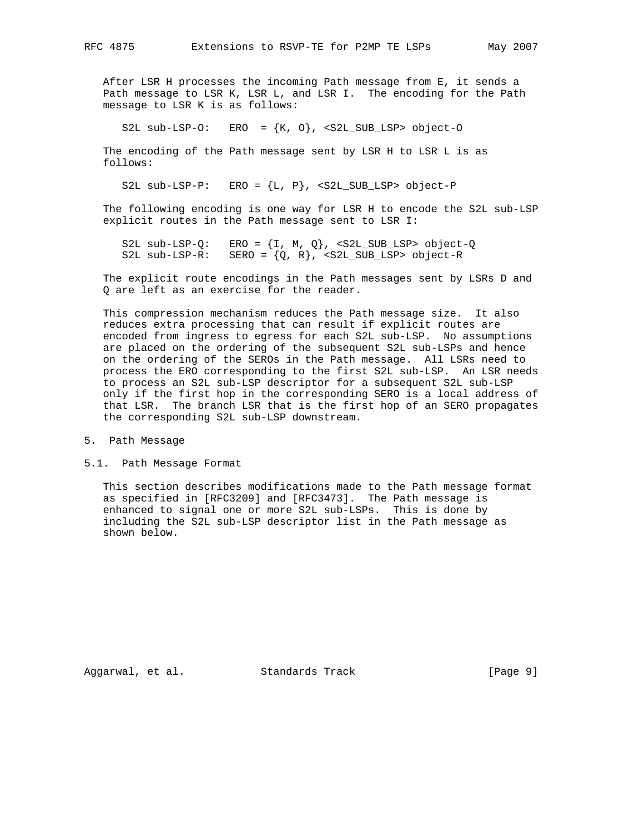After LSR H processes the incoming Path message from E, it sends a Path message to LSR K, LSR L, and LSR I. The encoding for the Path message to LSR K is as follows:

S2L sub-LSP-O: ERO =  $\{K, 0\}$ , <S2L\_SUB\_LSP> object-O

The encoding of the Path message sent by LSR H to LSR L is as follows:

S2L sub-LSP-P: ERO =  ${L, P}$ , <S2L SUB LSP> object-P

 The following encoding is one way for LSR H to encode the S2L sub-LSP explicit routes in the Path message sent to LSR I:

S2L sub-LSP-Q: ERO =  $\{I, M, Q\}$ , <S2L\_SUB\_LSP> object-Q S2L sub-LSP-R: SERO =  ${Q, R}$ , <S2L\_SUB\_LSP> object-R

 The explicit route encodings in the Path messages sent by LSRs D and Q are left as an exercise for the reader.

 This compression mechanism reduces the Path message size. It also reduces extra processing that can result if explicit routes are encoded from ingress to egress for each S2L sub-LSP. No assumptions are placed on the ordering of the subsequent S2L sub-LSPs and hence on the ordering of the SEROs in the Path message. All LSRs need to process the ERO corresponding to the first S2L sub-LSP. An LSR needs to process an S2L sub-LSP descriptor for a subsequent S2L sub-LSP only if the first hop in the corresponding SERO is a local address of that LSR. The branch LSR that is the first hop of an SERO propagates the corresponding S2L sub-LSP downstream.

5.1. Path Message Format

 This section describes modifications made to the Path message format as specified in [RFC3209] and [RFC3473]. The Path message is enhanced to signal one or more S2L sub-LSPs. This is done by including the S2L sub-LSP descriptor list in the Path message as shown below.

Aggarwal, et al. Standards Track [Page 9]

<sup>5.</sup> Path Message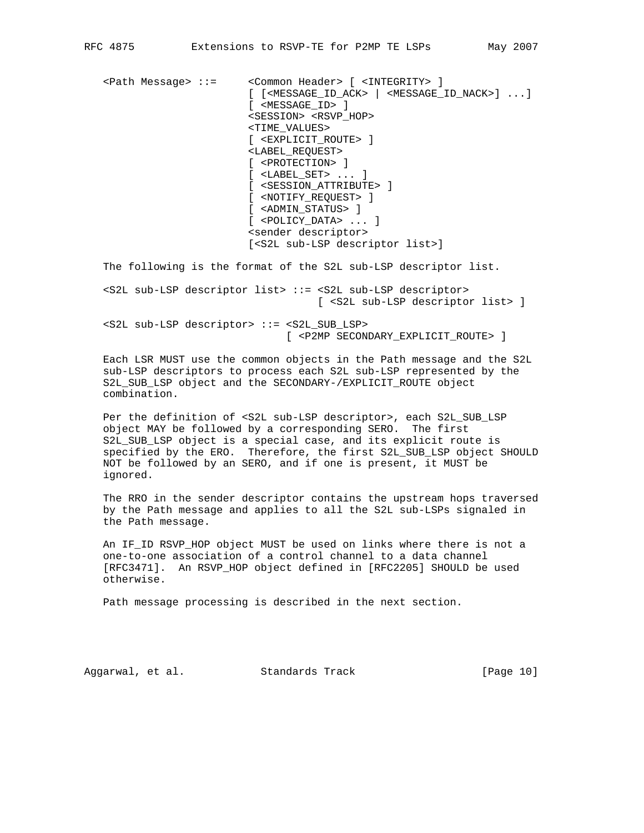<Path Message> ::= <Common Header> [ <INTEGRITY> ] [ [<MESSAGE\_ID\_ACK> | <MESSAGE\_ID\_NACK>] ...] [ <MESSAGE\_ID> ] <SESSION> <RSVP\_HOP> <TIME\_VALUES> [ <EXPLICIT\_ROUTE> ] <LABEL\_REQUEST> [ <PROTECTION> ] [ <LABEL\_SET> ... ] [ <SESSION\_ATTRIBUTE> ] [ <NOTIFY\_REQUEST> ] [ <ADMIN\_STATUS> ] [ <POLICY\_DATA> ... ] <sender descriptor> [<S2L sub-LSP descriptor list>]

The following is the format of the S2L sub-LSP descriptor list.

 <S2L sub-LSP descriptor list> ::= <S2L sub-LSP descriptor> [ <S2L sub-LSP descriptor list> ]

 <S2L sub-LSP descriptor> ::= <S2L\_SUB\_LSP> [ <P2MP SECONDARY\_EXPLICIT\_ROUTE> ]

 Each LSR MUST use the common objects in the Path message and the S2L sub-LSP descriptors to process each S2L sub-LSP represented by the S2L\_SUB\_LSP object and the SECONDARY-/EXPLICIT\_ROUTE object combination.

 Per the definition of <S2L sub-LSP descriptor>, each S2L\_SUB\_LSP object MAY be followed by a corresponding SERO. The first S2L\_SUB\_LSP object is a special case, and its explicit route is specified by the ERO. Therefore, the first S2L\_SUB\_LSP object SHOULD NOT be followed by an SERO, and if one is present, it MUST be ignored.

 The RRO in the sender descriptor contains the upstream hops traversed by the Path message and applies to all the S2L sub-LSPs signaled in the Path message.

 An IF\_ID RSVP\_HOP object MUST be used on links where there is not a one-to-one association of a control channel to a data channel [RFC3471]. An RSVP\_HOP object defined in [RFC2205] SHOULD be used otherwise.

Path message processing is described in the next section.

Aggarwal, et al. Standards Track [Page 10]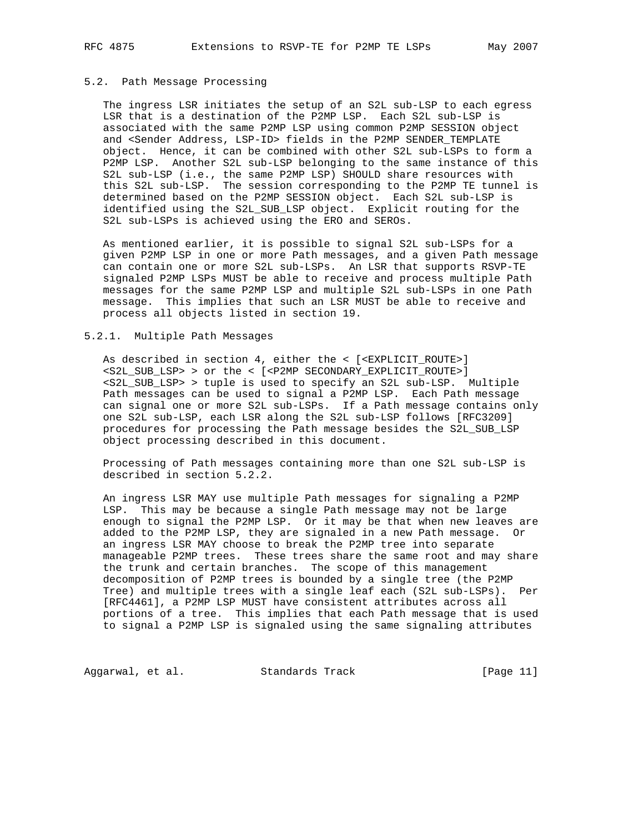#### 5.2. Path Message Processing

 The ingress LSR initiates the setup of an S2L sub-LSP to each egress LSR that is a destination of the P2MP LSP. Each S2L sub-LSP is associated with the same P2MP LSP using common P2MP SESSION object and <Sender Address, LSP-ID> fields in the P2MP SENDER\_TEMPLATE object. Hence, it can be combined with other S2L sub-LSPs to form a P2MP LSP. Another S2L sub-LSP belonging to the same instance of this S2L sub-LSP (i.e., the same P2MP LSP) SHOULD share resources with this S2L sub-LSP. The session corresponding to the P2MP TE tunnel is determined based on the P2MP SESSION object. Each S2L sub-LSP is identified using the S2L\_SUB\_LSP object. Explicit routing for the S2L sub-LSPs is achieved using the ERO and SEROs.

 As mentioned earlier, it is possible to signal S2L sub-LSPs for a given P2MP LSP in one or more Path messages, and a given Path message can contain one or more S2L sub-LSPs. An LSR that supports RSVP-TE signaled P2MP LSPs MUST be able to receive and process multiple Path messages for the same P2MP LSP and multiple S2L sub-LSPs in one Path message. This implies that such an LSR MUST be able to receive and process all objects listed in section 19.

## 5.2.1. Multiple Path Messages

 As described in section 4, either the < [<EXPLICIT\_ROUTE>] <S2L\_SUB\_LSP> > or the < [<P2MP SECONDARY\_EXPLICIT\_ROUTE>] <S2L\_SUB\_LSP> > tuple is used to specify an S2L sub-LSP. Multiple Path messages can be used to signal a P2MP LSP. Each Path message can signal one or more S2L sub-LSPs. If a Path message contains only one S2L sub-LSP, each LSR along the S2L sub-LSP follows [RFC3209] procedures for processing the Path message besides the S2L\_SUB\_LSP object processing described in this document.

 Processing of Path messages containing more than one S2L sub-LSP is described in section 5.2.2.

 An ingress LSR MAY use multiple Path messages for signaling a P2MP LSP. This may be because a single Path message may not be large enough to signal the P2MP LSP. Or it may be that when new leaves are added to the P2MP LSP, they are signaled in a new Path message. Or an ingress LSR MAY choose to break the P2MP tree into separate manageable P2MP trees. These trees share the same root and may share the trunk and certain branches. The scope of this management decomposition of P2MP trees is bounded by a single tree (the P2MP Tree) and multiple trees with a single leaf each (S2L sub-LSPs). Per [RFC4461], a P2MP LSP MUST have consistent attributes across all portions of a tree. This implies that each Path message that is used to signal a P2MP LSP is signaled using the same signaling attributes

Aggarwal, et al. Standards Track [Page 11]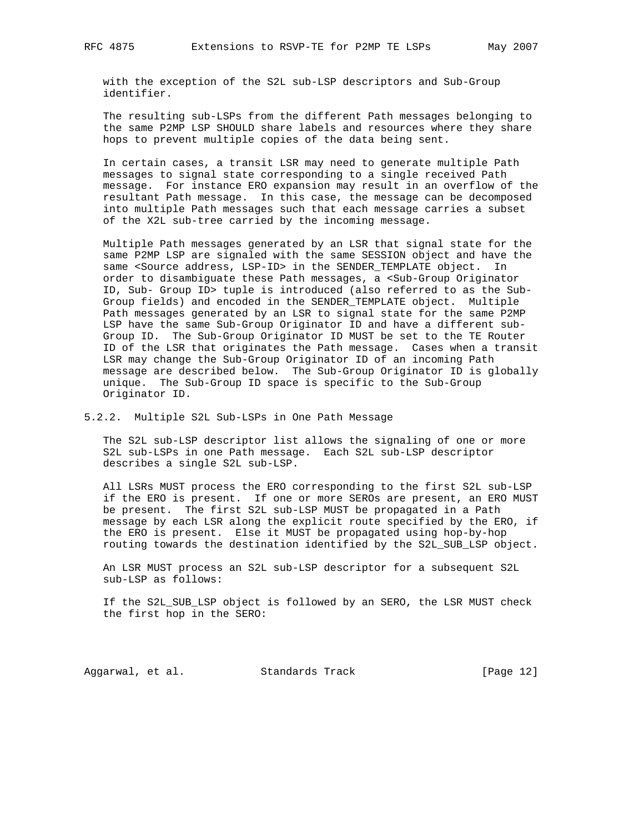with the exception of the S2L sub-LSP descriptors and Sub-Group identifier.

 The resulting sub-LSPs from the different Path messages belonging to the same P2MP LSP SHOULD share labels and resources where they share hops to prevent multiple copies of the data being sent.

 In certain cases, a transit LSR may need to generate multiple Path messages to signal state corresponding to a single received Path message. For instance ERO expansion may result in an overflow of the resultant Path message. In this case, the message can be decomposed into multiple Path messages such that each message carries a subset of the X2L sub-tree carried by the incoming message.

 Multiple Path messages generated by an LSR that signal state for the same P2MP LSP are signaled with the same SESSION object and have the same <Source address, LSP-ID> in the SENDER\_TEMPLATE object. In order to disambiguate these Path messages, a <Sub-Group Originator ID, Sub- Group ID> tuple is introduced (also referred to as the Sub- Group fields) and encoded in the SENDER\_TEMPLATE object. Multiple Path messages generated by an LSR to signal state for the same P2MP LSP have the same Sub-Group Originator ID and have a different sub- Group ID. The Sub-Group Originator ID MUST be set to the TE Router ID of the LSR that originates the Path message. Cases when a transit LSR may change the Sub-Group Originator ID of an incoming Path message are described below. The Sub-Group Originator ID is globally unique. The Sub-Group ID space is specific to the Sub-Group Originator ID.

#### 5.2.2. Multiple S2L Sub-LSPs in One Path Message

 The S2L sub-LSP descriptor list allows the signaling of one or more S2L sub-LSPs in one Path message. Each S2L sub-LSP descriptor describes a single S2L sub-LSP.

 All LSRs MUST process the ERO corresponding to the first S2L sub-LSP if the ERO is present. If one or more SEROs are present, an ERO MUST be present. The first S2L sub-LSP MUST be propagated in a Path message by each LSR along the explicit route specified by the ERO, if the ERO is present. Else it MUST be propagated using hop-by-hop routing towards the destination identified by the S2L\_SUB\_LSP object.

 An LSR MUST process an S2L sub-LSP descriptor for a subsequent S2L sub-LSP as follows:

 If the S2L\_SUB\_LSP object is followed by an SERO, the LSR MUST check the first hop in the SERO:

Aggarwal, et al. Standards Track [Page 12]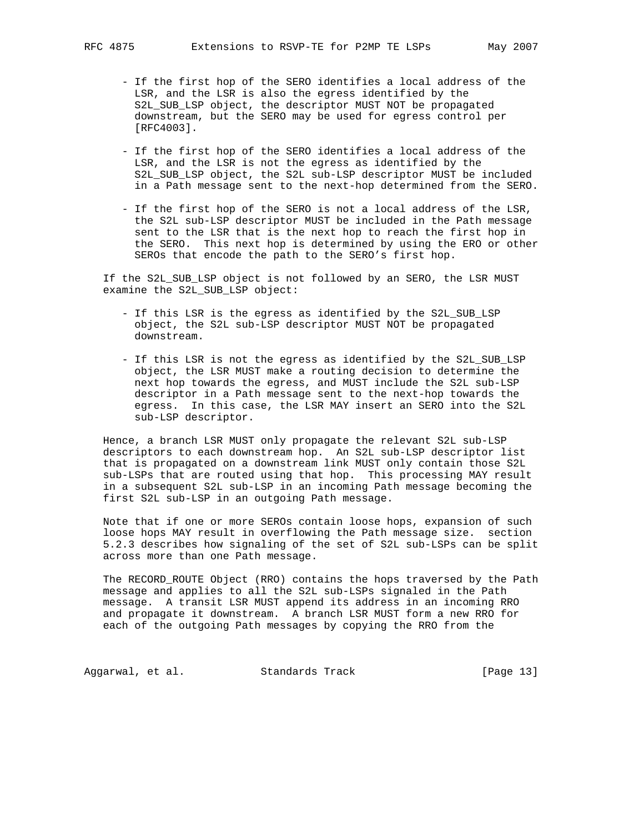- If the first hop of the SERO identifies a local address of the LSR, and the LSR is also the egress identified by the S2L\_SUB\_LSP object, the descriptor MUST NOT be propagated downstream, but the SERO may be used for egress control per [RFC4003].
- If the first hop of the SERO identifies a local address of the LSR, and the LSR is not the egress as identified by the S2L\_SUB\_LSP object, the S2L sub-LSP descriptor MUST be included in a Path message sent to the next-hop determined from the SERO.
- If the first hop of the SERO is not a local address of the LSR, the S2L sub-LSP descriptor MUST be included in the Path message sent to the LSR that is the next hop to reach the first hop in the SERO. This next hop is determined by using the ERO or other SEROs that encode the path to the SERO's first hop.

 If the S2L\_SUB\_LSP object is not followed by an SERO, the LSR MUST examine the S2L\_SUB\_LSP object:

- If this LSR is the egress as identified by the S2L\_SUB\_LSP object, the S2L sub-LSP descriptor MUST NOT be propagated downstream.
- If this LSR is not the egress as identified by the S2L\_SUB\_LSP object, the LSR MUST make a routing decision to determine the next hop towards the egress, and MUST include the S2L sub-LSP descriptor in a Path message sent to the next-hop towards the egress. In this case, the LSR MAY insert an SERO into the S2L sub-LSP descriptor.

 Hence, a branch LSR MUST only propagate the relevant S2L sub-LSP descriptors to each downstream hop. An S2L sub-LSP descriptor list that is propagated on a downstream link MUST only contain those S2L sub-LSPs that are routed using that hop. This processing MAY result in a subsequent S2L sub-LSP in an incoming Path message becoming the first S2L sub-LSP in an outgoing Path message.

 Note that if one or more SEROs contain loose hops, expansion of such loose hops MAY result in overflowing the Path message size. section 5.2.3 describes how signaling of the set of S2L sub-LSPs can be split across more than one Path message.

 The RECORD\_ROUTE Object (RRO) contains the hops traversed by the Path message and applies to all the S2L sub-LSPs signaled in the Path message. A transit LSR MUST append its address in an incoming RRO and propagate it downstream. A branch LSR MUST form a new RRO for each of the outgoing Path messages by copying the RRO from the

Aggarwal, et al. Standards Track [Page 13]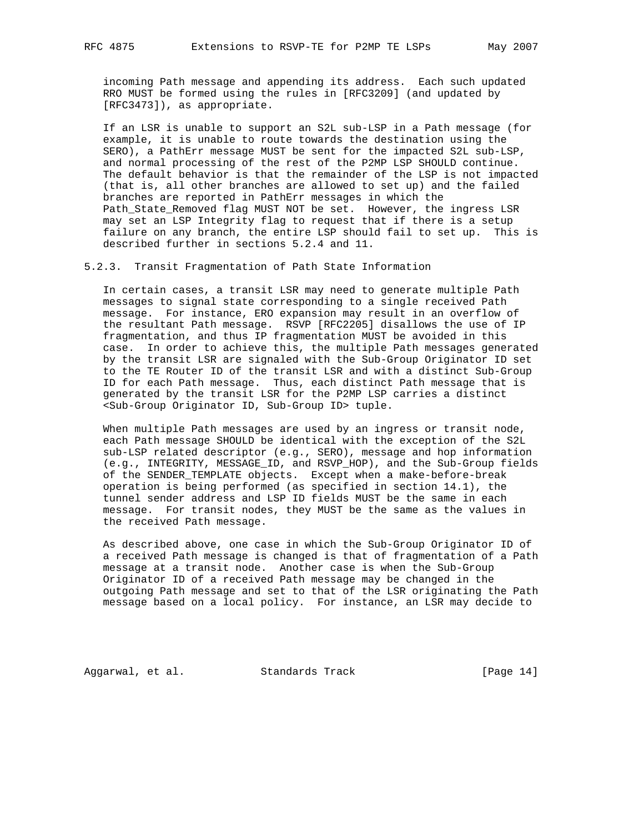incoming Path message and appending its address. Each such updated RRO MUST be formed using the rules in [RFC3209] (and updated by [RFC3473]), as appropriate.

 If an LSR is unable to support an S2L sub-LSP in a Path message (for example, it is unable to route towards the destination using the SERO), a PathErr message MUST be sent for the impacted S2L sub-LSP, and normal processing of the rest of the P2MP LSP SHOULD continue. The default behavior is that the remainder of the LSP is not impacted (that is, all other branches are allowed to set up) and the failed branches are reported in PathErr messages in which the Path\_State\_Removed flag MUST NOT be set. However, the ingress LSR may set an LSP Integrity flag to request that if there is a setup failure on any branch, the entire LSP should fail to set up. This is described further in sections 5.2.4 and 11.

5.2.3. Transit Fragmentation of Path State Information

 In certain cases, a transit LSR may need to generate multiple Path messages to signal state corresponding to a single received Path message. For instance, ERO expansion may result in an overflow of the resultant Path message. RSVP [RFC2205] disallows the use of IP fragmentation, and thus IP fragmentation MUST be avoided in this case. In order to achieve this, the multiple Path messages generated by the transit LSR are signaled with the Sub-Group Originator ID set to the TE Router ID of the transit LSR and with a distinct Sub-Group ID for each Path message. Thus, each distinct Path message that is generated by the transit LSR for the P2MP LSP carries a distinct <Sub-Group Originator ID, Sub-Group ID> tuple.

When multiple Path messages are used by an ingress or transit node, each Path message SHOULD be identical with the exception of the S2L sub-LSP related descriptor (e.g., SERO), message and hop information (e.g., INTEGRITY, MESSAGE\_ID, and RSVP\_HOP), and the Sub-Group fields of the SENDER\_TEMPLATE objects. Except when a make-before-break operation is being performed (as specified in section 14.1), the tunnel sender address and LSP ID fields MUST be the same in each message. For transit nodes, they MUST be the same as the values in the received Path message.

 As described above, one case in which the Sub-Group Originator ID of a received Path message is changed is that of fragmentation of a Path message at a transit node. Another case is when the Sub-Group Originator ID of a received Path message may be changed in the outgoing Path message and set to that of the LSR originating the Path message based on a local policy. For instance, an LSR may decide to

Aggarwal, et al. Standards Track [Page 14]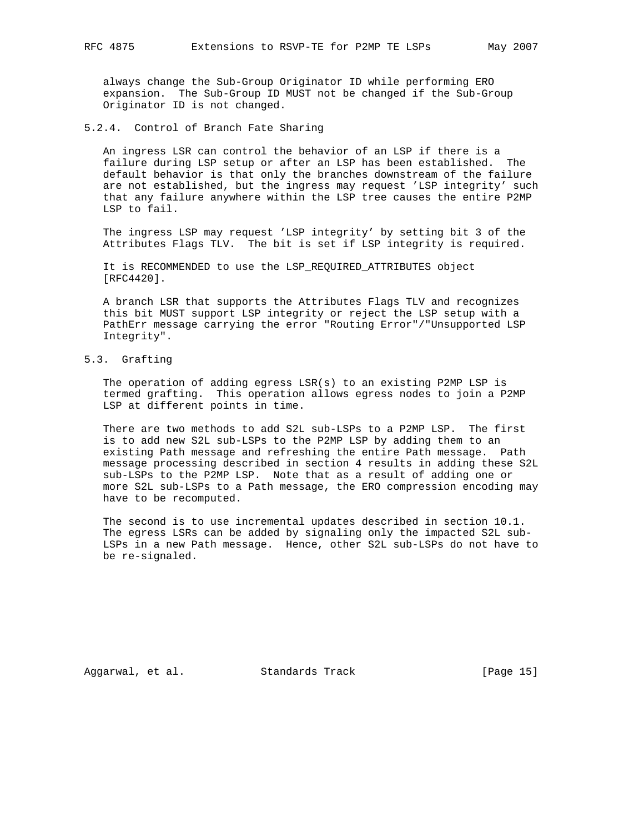always change the Sub-Group Originator ID while performing ERO expansion. The Sub-Group ID MUST not be changed if the Sub-Group Originator ID is not changed.

5.2.4. Control of Branch Fate Sharing

 An ingress LSR can control the behavior of an LSP if there is a failure during LSP setup or after an LSP has been established. The default behavior is that only the branches downstream of the failure are not established, but the ingress may request 'LSP integrity' such that any failure anywhere within the LSP tree causes the entire P2MP LSP to fail.

 The ingress LSP may request 'LSP integrity' by setting bit 3 of the Attributes Flags TLV. The bit is set if LSP integrity is required.

 It is RECOMMENDED to use the LSP\_REQUIRED\_ATTRIBUTES object [RFC4420].

 A branch LSR that supports the Attributes Flags TLV and recognizes this bit MUST support LSP integrity or reject the LSP setup with a PathErr message carrying the error "Routing Error"/"Unsupported LSP Integrity".

5.3. Grafting

 The operation of adding egress LSR(s) to an existing P2MP LSP is termed grafting. This operation allows egress nodes to join a P2MP LSP at different points in time.

 There are two methods to add S2L sub-LSPs to a P2MP LSP. The first is to add new S2L sub-LSPs to the P2MP LSP by adding them to an existing Path message and refreshing the entire Path message. Path message processing described in section 4 results in adding these S2L sub-LSPs to the P2MP LSP. Note that as a result of adding one or more S2L sub-LSPs to a Path message, the ERO compression encoding may have to be recomputed.

 The second is to use incremental updates described in section 10.1. The egress LSRs can be added by signaling only the impacted S2L sub- LSPs in a new Path message. Hence, other S2L sub-LSPs do not have to be re-signaled.

Aggarwal, et al. Standards Track [Page 15]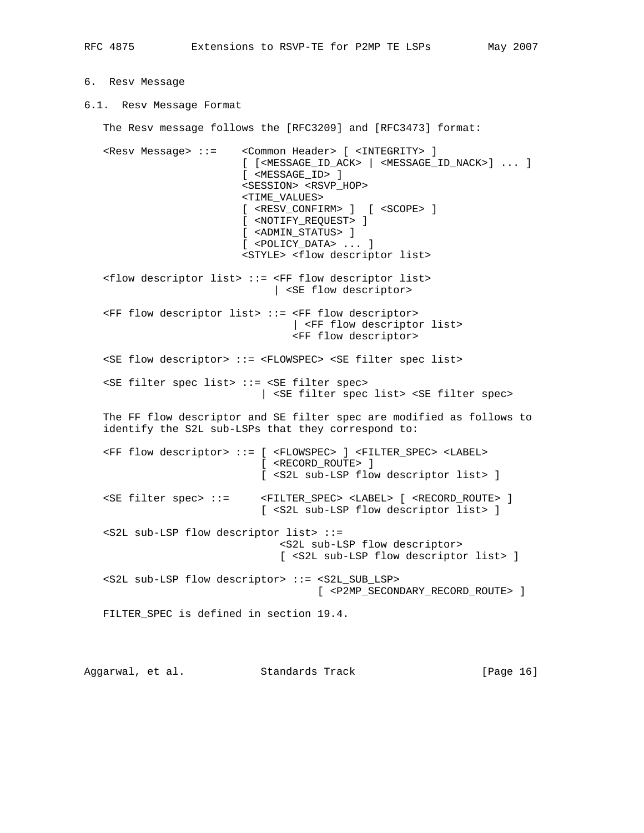## 6. Resv Message

6.1. Resv Message Format

The Resv message follows the [RFC3209] and [RFC3473] format:

 <Resv Message> ::= <Common Header> [ <INTEGRITY> ] [ [<MESSAGE\_ID\_ACK> | <MESSAGE\_ID\_NACK>] ... ] [ <MESSAGE\_ID> ] <SESSION> <RSVP\_HOP> <TIME\_VALUES> [ <RESV\_CONFIRM> ] [ <SCOPE> ] [ <NOTIFY\_REQUEST> ] [ <ADMIN\_STATUS> ] [ <POLICY\_DATA> ... ]

<STYLE> <flow descriptor list>

 <flow descriptor list> ::= <FF flow descriptor list> | <SE flow descriptor>

 <FF flow descriptor list> ::= <FF flow descriptor> | <FF flow descriptor list> <FF flow descriptor>

 <SE flow descriptor> ::= <FLOWSPEC> <SE filter spec list> <SE filter spec list> ::= <SE filter spec>

| <SE filter spec list> <SE filter spec>

 The FF flow descriptor and SE filter spec are modified as follows to identify the S2L sub-LSPs that they correspond to:

 <FF flow descriptor> ::= [ <FLOWSPEC> ] <FILTER\_SPEC> <LABEL> [ <RECORD\_ROUTE> ] [ <S2L sub-LSP flow descriptor list> ] <SE filter spec> ::= <FILTER\_SPEC> <LABEL> [ <RECORD\_ROUTE> ] [ <S2L sub-LSP flow descriptor list> ] <S2L sub-LSP flow descriptor list> ::= <S2L sub-LSP flow descriptor> [ <S2L sub-LSP flow descriptor list> ]

 <S2L sub-LSP flow descriptor> ::= <S2L\_SUB\_LSP> [ <P2MP\_SECONDARY\_RECORD\_ROUTE> ]

FILTER\_SPEC is defined in section 19.4.

Aggarwal, et al. Standards Track [Page 16]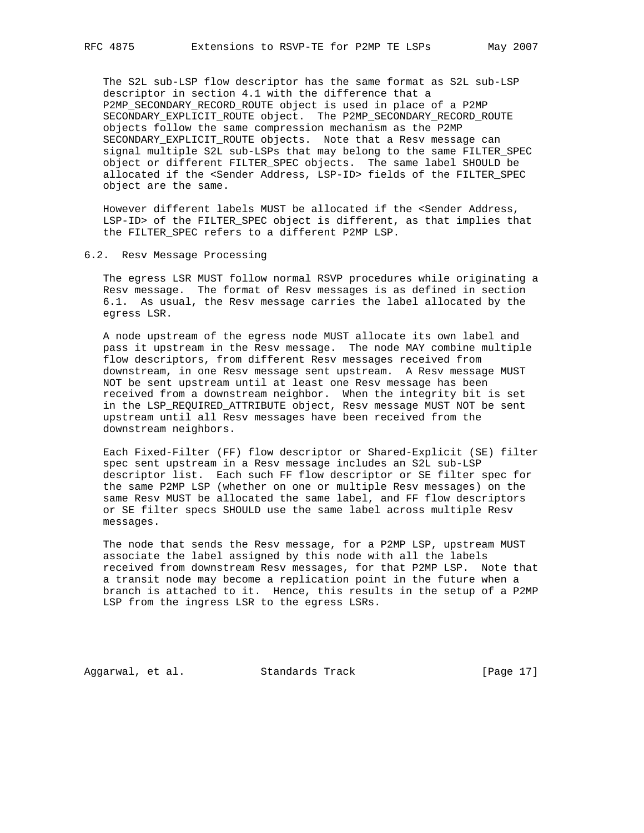The S2L sub-LSP flow descriptor has the same format as S2L sub-LSP descriptor in section 4.1 with the difference that a P2MP\_SECONDARY\_RECORD\_ROUTE object is used in place of a P2MP SECONDARY\_EXPLICIT\_ROUTE object. The P2MP\_SECONDARY\_RECORD\_ROUTE objects follow the same compression mechanism as the P2MP SECONDARY\_EXPLICIT\_ROUTE objects. Note that a Resv message can signal multiple S2L sub-LSPs that may belong to the same FILTER\_SPEC object or different FILTER\_SPEC objects. The same label SHOULD be allocated if the <Sender Address, LSP-ID> fields of the FILTER\_SPEC object are the same.

 However different labels MUST be allocated if the <Sender Address, LSP-ID> of the FILTER\_SPEC object is different, as that implies that the FILTER\_SPEC refers to a different P2MP LSP.

#### 6.2. Resv Message Processing

 The egress LSR MUST follow normal RSVP procedures while originating a Resv message. The format of Resv messages is as defined in section 6.1. As usual, the Resv message carries the label allocated by the egress LSR.

 A node upstream of the egress node MUST allocate its own label and pass it upstream in the Resv message. The node MAY combine multiple flow descriptors, from different Resv messages received from downstream, in one Resv message sent upstream. A Resv message MUST NOT be sent upstream until at least one Resv message has been received from a downstream neighbor. When the integrity bit is set in the LSP\_REQUIRED\_ATTRIBUTE object, Resv message MUST NOT be sent upstream until all Resv messages have been received from the downstream neighbors.

 Each Fixed-Filter (FF) flow descriptor or Shared-Explicit (SE) filter spec sent upstream in a Resv message includes an S2L sub-LSP descriptor list. Each such FF flow descriptor or SE filter spec for the same P2MP LSP (whether on one or multiple Resv messages) on the same Resv MUST be allocated the same label, and FF flow descriptors or SE filter specs SHOULD use the same label across multiple Resv messages.

 The node that sends the Resv message, for a P2MP LSP, upstream MUST associate the label assigned by this node with all the labels received from downstream Resv messages, for that P2MP LSP. Note that a transit node may become a replication point in the future when a branch is attached to it. Hence, this results in the setup of a P2MP LSP from the ingress LSR to the egress LSRs.

Aggarwal, et al. Standards Track [Page 17]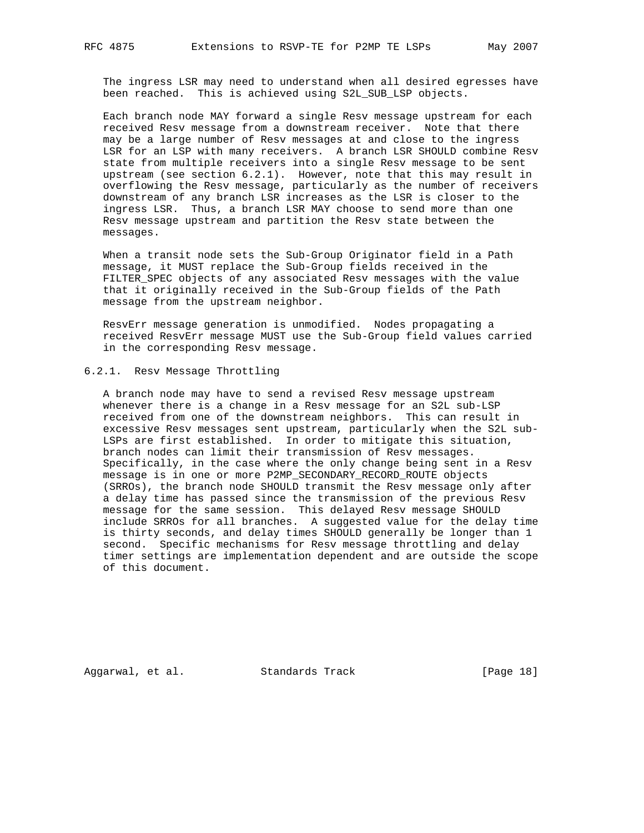The ingress LSR may need to understand when all desired egresses have been reached. This is achieved using S2L\_SUB\_LSP objects.

 Each branch node MAY forward a single Resv message upstream for each received Resv message from a downstream receiver. Note that there may be a large number of Resv messages at and close to the ingress LSR for an LSP with many receivers. A branch LSR SHOULD combine Resv state from multiple receivers into a single Resv message to be sent upstream (see section 6.2.1). However, note that this may result in overflowing the Resv message, particularly as the number of receivers downstream of any branch LSR increases as the LSR is closer to the ingress LSR. Thus, a branch LSR MAY choose to send more than one Resv message upstream and partition the Resv state between the messages.

 When a transit node sets the Sub-Group Originator field in a Path message, it MUST replace the Sub-Group fields received in the FILTER\_SPEC objects of any associated Resv messages with the value that it originally received in the Sub-Group fields of the Path message from the upstream neighbor.

 ResvErr message generation is unmodified. Nodes propagating a received ResvErr message MUST use the Sub-Group field values carried in the corresponding Resv message.

#### 6.2.1. Resv Message Throttling

 A branch node may have to send a revised Resv message upstream whenever there is a change in a Resv message for an S2L sub-LSP received from one of the downstream neighbors. This can result in excessive Resv messages sent upstream, particularly when the S2L sub- LSPs are first established. In order to mitigate this situation, branch nodes can limit their transmission of Resv messages. Specifically, in the case where the only change being sent in a Resv message is in one or more P2MP\_SECONDARY\_RECORD\_ROUTE objects (SRROs), the branch node SHOULD transmit the Resv message only after a delay time has passed since the transmission of the previous Resv message for the same session. This delayed Resv message SHOULD include SRROs for all branches. A suggested value for the delay time is thirty seconds, and delay times SHOULD generally be longer than 1 second. Specific mechanisms for Resv message throttling and delay timer settings are implementation dependent and are outside the scope of this document.

Aggarwal, et al. Standards Track [Page 18]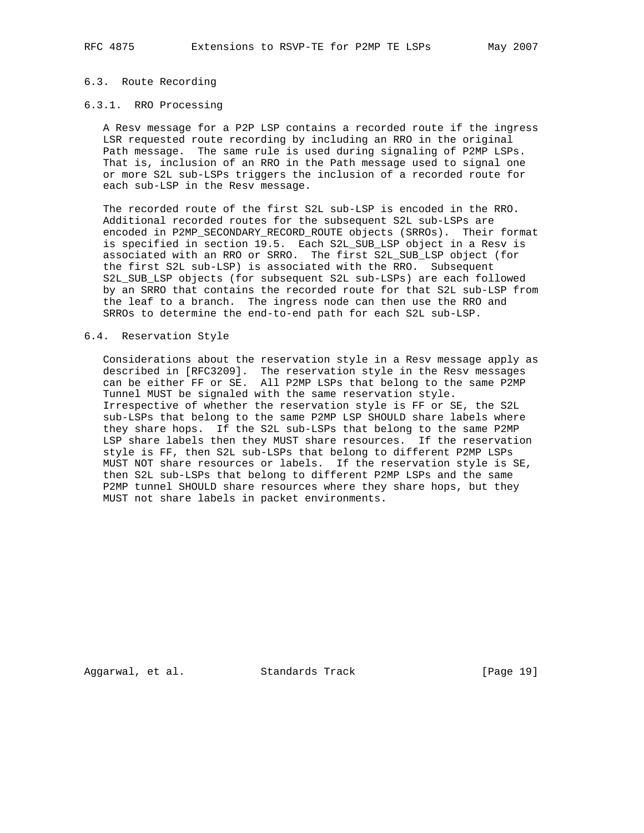## 6.3. Route Recording

#### 6.3.1. RRO Processing

 A Resv message for a P2P LSP contains a recorded route if the ingress LSR requested route recording by including an RRO in the original Path message. The same rule is used during signaling of P2MP LSPs. That is, inclusion of an RRO in the Path message used to signal one or more S2L sub-LSPs triggers the inclusion of a recorded route for each sub-LSP in the Resv message.

 The recorded route of the first S2L sub-LSP is encoded in the RRO. Additional recorded routes for the subsequent S2L sub-LSPs are encoded in P2MP\_SECONDARY\_RECORD\_ROUTE objects (SRROs). Their format is specified in section 19.5. Each S2L\_SUB\_LSP object in a Resv is associated with an RRO or SRRO. The first S2L\_SUB\_LSP object (for the first S2L sub-LSP) is associated with the RRO. Subsequent S2L\_SUB\_LSP objects (for subsequent S2L sub-LSPs) are each followed by an SRRO that contains the recorded route for that S2L sub-LSP from the leaf to a branch. The ingress node can then use the RRO and SRROs to determine the end-to-end path for each S2L sub-LSP.

#### 6.4. Reservation Style

 Considerations about the reservation style in a Resv message apply as described in [RFC3209]. The reservation style in the Resv messages can be either FF or SE. All P2MP LSPs that belong to the same P2MP Tunnel MUST be signaled with the same reservation style. Irrespective of whether the reservation style is FF or SE, the S2L sub-LSPs that belong to the same P2MP LSP SHOULD share labels where they share hops. If the S2L sub-LSPs that belong to the same P2MP LSP share labels then they MUST share resources. If the reservation style is FF, then S2L sub-LSPs that belong to different P2MP LSPs MUST NOT share resources or labels. If the reservation style is SE, then S2L sub-LSPs that belong to different P2MP LSPs and the same P2MP tunnel SHOULD share resources where they share hops, but they MUST not share labels in packet environments.

Aggarwal, et al. Standards Track [Page 19]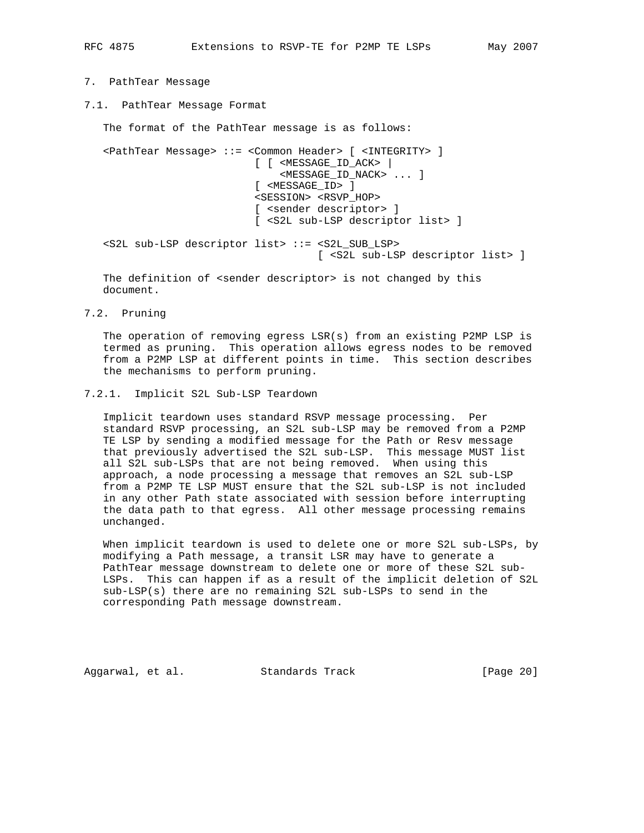```
7. PathTear Message
```
7.1. PathTear Message Format

 The format of the PathTear message is as follows: <PathTear Message> ::= <Common Header> [ <INTEGRITY> ] [ [ <MESSAGE\_ID\_ACK> | <MESSAGE\_ID\_NACK> ... ] [ <MESSAGE\_ID> ] <SESSION> <RSVP\_HOP> [ <sender descriptor> ] [ <S2L sub-LSP descriptor list> ] <S2L sub-LSP descriptor list> ::= <S2L\_SUB\_LSP>

[ <S2L sub-LSP descriptor list> ]

The definition of <sender descriptor> is not changed by this document.

7.2. Pruning

 The operation of removing egress LSR(s) from an existing P2MP LSP is termed as pruning. This operation allows egress nodes to be removed from a P2MP LSP at different points in time. This section describes the mechanisms to perform pruning.

#### 7.2.1. Implicit S2L Sub-LSP Teardown

 Implicit teardown uses standard RSVP message processing. Per standard RSVP processing, an S2L sub-LSP may be removed from a P2MP TE LSP by sending a modified message for the Path or Resv message that previously advertised the S2L sub-LSP. This message MUST list all S2L sub-LSPs that are not being removed. When using this approach, a node processing a message that removes an S2L sub-LSP from a P2MP TE LSP MUST ensure that the S2L sub-LSP is not included in any other Path state associated with session before interrupting the data path to that egress. All other message processing remains unchanged.

 When implicit teardown is used to delete one or more S2L sub-LSPs, by modifying a Path message, a transit LSR may have to generate a PathTear message downstream to delete one or more of these S2L sub- LSPs. This can happen if as a result of the implicit deletion of S2L sub-LSP(s) there are no remaining S2L sub-LSPs to send in the corresponding Path message downstream.

Aggarwal, et al. Standards Track [Page 20]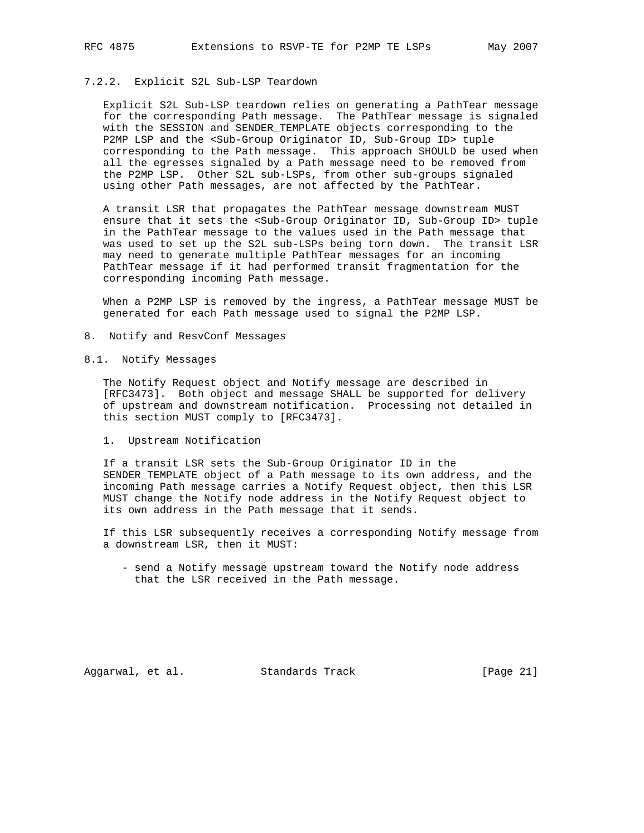## 7.2.2. Explicit S2L Sub-LSP Teardown

 Explicit S2L Sub-LSP teardown relies on generating a PathTear message for the corresponding Path message. The PathTear message is signaled with the SESSION and SENDER\_TEMPLATE objects corresponding to the P2MP LSP and the <Sub-Group Originator ID, Sub-Group ID> tuple corresponding to the Path message. This approach SHOULD be used when all the egresses signaled by a Path message need to be removed from the P2MP LSP. Other S2L sub-LSPs, from other sub-groups signaled using other Path messages, are not affected by the PathTear.

 A transit LSR that propagates the PathTear message downstream MUST ensure that it sets the <Sub-Group Originator ID, Sub-Group ID> tuple in the PathTear message to the values used in the Path message that was used to set up the S2L sub-LSPs being torn down. The transit LSR may need to generate multiple PathTear messages for an incoming PathTear message if it had performed transit fragmentation for the corresponding incoming Path message.

 When a P2MP LSP is removed by the ingress, a PathTear message MUST be generated for each Path message used to signal the P2MP LSP.

- 8. Notify and ResvConf Messages
- 8.1. Notify Messages

 The Notify Request object and Notify message are described in [RFC3473]. Both object and message SHALL be supported for delivery of upstream and downstream notification. Processing not detailed in this section MUST comply to [RFC3473].

1. Upstream Notification

 If a transit LSR sets the Sub-Group Originator ID in the SENDER\_TEMPLATE object of a Path message to its own address, and the incoming Path message carries a Notify Request object, then this LSR MUST change the Notify node address in the Notify Request object to its own address in the Path message that it sends.

 If this LSR subsequently receives a corresponding Notify message from a downstream LSR, then it MUST:

 - send a Notify message upstream toward the Notify node address that the LSR received in the Path message.

Aggarwal, et al. Standards Track [Page 21]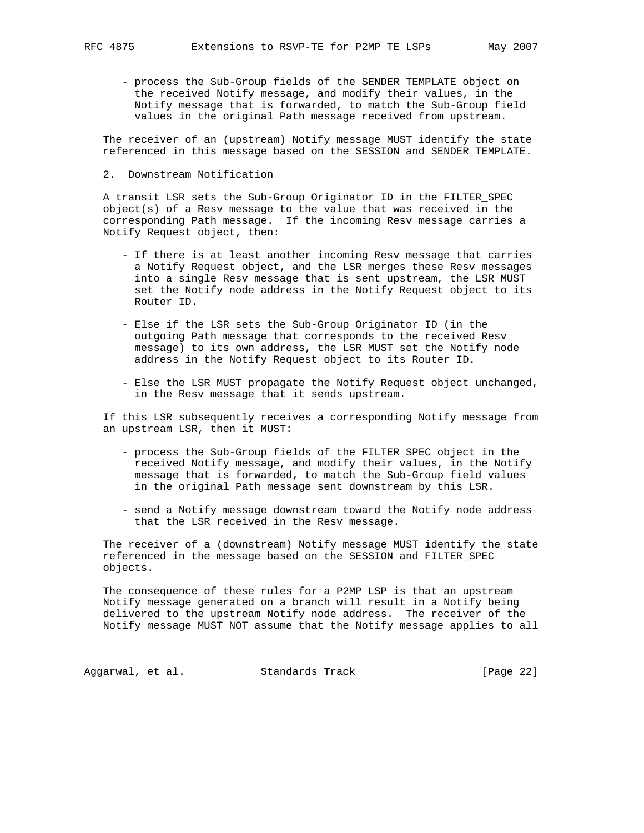- process the Sub-Group fields of the SENDER\_TEMPLATE object on the received Notify message, and modify their values, in the Notify message that is forwarded, to match the Sub-Group field values in the original Path message received from upstream.

 The receiver of an (upstream) Notify message MUST identify the state referenced in this message based on the SESSION and SENDER\_TEMPLATE.

2. Downstream Notification

 A transit LSR sets the Sub-Group Originator ID in the FILTER\_SPEC object(s) of a Resv message to the value that was received in the corresponding Path message. If the incoming Resv message carries a Notify Request object, then:

- If there is at least another incoming Resv message that carries a Notify Request object, and the LSR merges these Resv messages into a single Resv message that is sent upstream, the LSR MUST set the Notify node address in the Notify Request object to its Router ID.
- Else if the LSR sets the Sub-Group Originator ID (in the outgoing Path message that corresponds to the received Resv message) to its own address, the LSR MUST set the Notify node address in the Notify Request object to its Router ID.
- Else the LSR MUST propagate the Notify Request object unchanged, in the Resv message that it sends upstream.

 If this LSR subsequently receives a corresponding Notify message from an upstream LSR, then it MUST:

- process the Sub-Group fields of the FILTER\_SPEC object in the received Notify message, and modify their values, in the Notify message that is forwarded, to match the Sub-Group field values in the original Path message sent downstream by this LSR.
- send a Notify message downstream toward the Notify node address that the LSR received in the Resv message.

 The receiver of a (downstream) Notify message MUST identify the state referenced in the message based on the SESSION and FILTER\_SPEC objects.

 The consequence of these rules for a P2MP LSP is that an upstream Notify message generated on a branch will result in a Notify being delivered to the upstream Notify node address. The receiver of the Notify message MUST NOT assume that the Notify message applies to all

Aggarwal, et al. Standards Track [Page 22]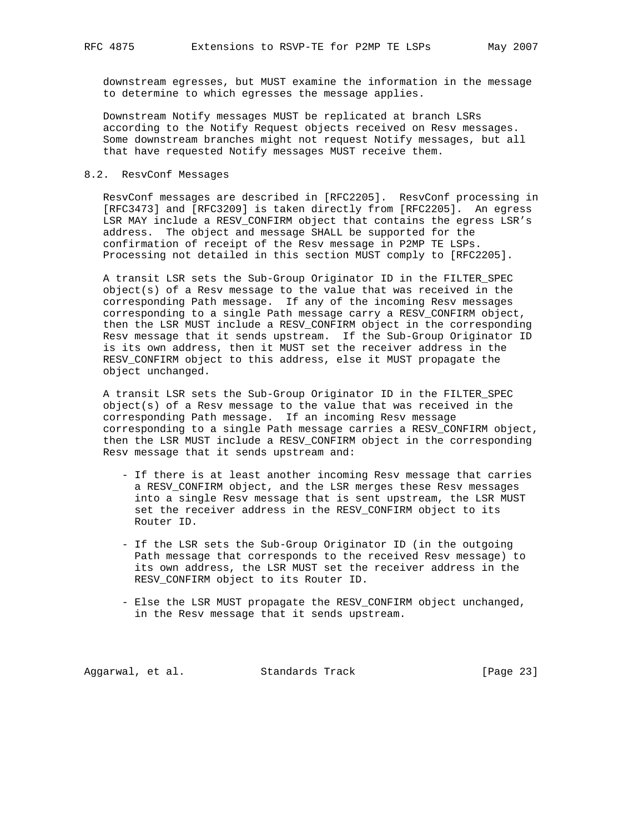downstream egresses, but MUST examine the information in the message to determine to which egresses the message applies.

 Downstream Notify messages MUST be replicated at branch LSRs according to the Notify Request objects received on Resv messages. Some downstream branches might not request Notify messages, but all that have requested Notify messages MUST receive them.

## 8.2. ResvConf Messages

 ResvConf messages are described in [RFC2205]. ResvConf processing in [RFC3473] and [RFC3209] is taken directly from [RFC2205]. An egress LSR MAY include a RESV\_CONFIRM object that contains the egress LSR's address. The object and message SHALL be supported for the confirmation of receipt of the Resv message in P2MP TE LSPs. Processing not detailed in this section MUST comply to [RFC2205].

 A transit LSR sets the Sub-Group Originator ID in the FILTER\_SPEC object(s) of a Resv message to the value that was received in the corresponding Path message. If any of the incoming Resv messages corresponding to a single Path message carry a RESV\_CONFIRM object, then the LSR MUST include a RESV\_CONFIRM object in the corresponding Resv message that it sends upstream. If the Sub-Group Originator ID is its own address, then it MUST set the receiver address in the RESV\_CONFIRM object to this address, else it MUST propagate the object unchanged.

 A transit LSR sets the Sub-Group Originator ID in the FILTER\_SPEC object(s) of a Resv message to the value that was received in the corresponding Path message. If an incoming Resv message corresponding to a single Path message carries a RESV\_CONFIRM object, then the LSR MUST include a RESV\_CONFIRM object in the corresponding Resv message that it sends upstream and:

- If there is at least another incoming Resv message that carries a RESV\_CONFIRM object, and the LSR merges these Resv messages into a single Resv message that is sent upstream, the LSR MUST set the receiver address in the RESV\_CONFIRM object to its Router ID.
- If the LSR sets the Sub-Group Originator ID (in the outgoing Path message that corresponds to the received Resv message) to its own address, the LSR MUST set the receiver address in the RESV\_CONFIRM object to its Router ID.
- Else the LSR MUST propagate the RESV\_CONFIRM object unchanged, in the Resv message that it sends upstream.

Aggarwal, et al. Standards Track [Page 23]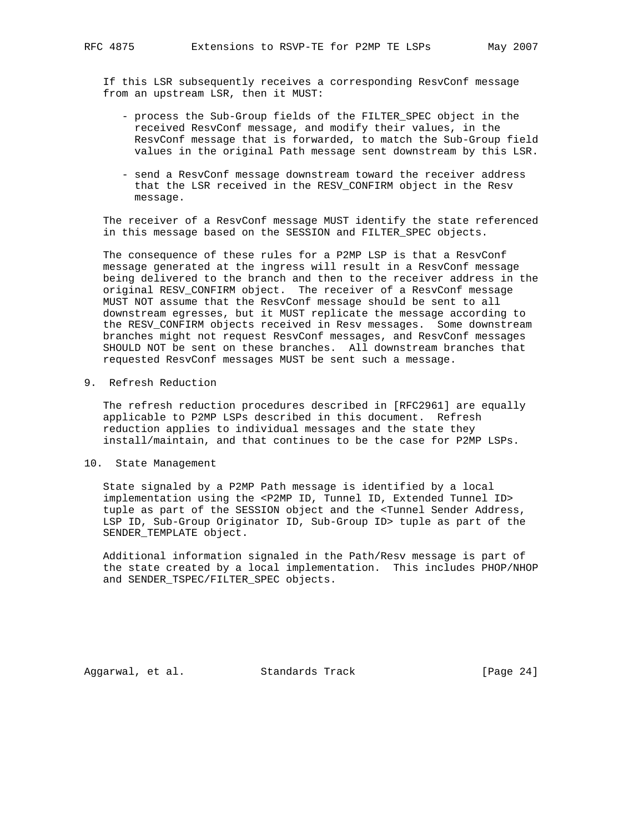If this LSR subsequently receives a corresponding ResvConf message from an upstream LSR, then it MUST:

- process the Sub-Group fields of the FILTER\_SPEC object in the received ResvConf message, and modify their values, in the ResvConf message that is forwarded, to match the Sub-Group field values in the original Path message sent downstream by this LSR.
- send a ResvConf message downstream toward the receiver address that the LSR received in the RESV\_CONFIRM object in the Resv message.

 The receiver of a ResvConf message MUST identify the state referenced in this message based on the SESSION and FILTER\_SPEC objects.

 The consequence of these rules for a P2MP LSP is that a ResvConf message generated at the ingress will result in a ResvConf message being delivered to the branch and then to the receiver address in the original RESV\_CONFIRM object. The receiver of a ResvConf message MUST NOT assume that the ResvConf message should be sent to all downstream egresses, but it MUST replicate the message according to the RESV\_CONFIRM objects received in Resv messages. Some downstream branches might not request ResvConf messages, and ResvConf messages SHOULD NOT be sent on these branches. All downstream branches that requested ResvConf messages MUST be sent such a message.

9. Refresh Reduction

 The refresh reduction procedures described in [RFC2961] are equally applicable to P2MP LSPs described in this document. Refresh reduction applies to individual messages and the state they install/maintain, and that continues to be the case for P2MP LSPs.

10. State Management

 State signaled by a P2MP Path message is identified by a local implementation using the <P2MP ID, Tunnel ID, Extended Tunnel ID> tuple as part of the SESSION object and the <Tunnel Sender Address, LSP ID, Sub-Group Originator ID, Sub-Group ID> tuple as part of the SENDER\_TEMPLATE object.

 Additional information signaled in the Path/Resv message is part of the state created by a local implementation. This includes PHOP/NHOP and SENDER\_TSPEC/FILTER\_SPEC objects.

Aggarwal, et al. Standards Track [Page 24]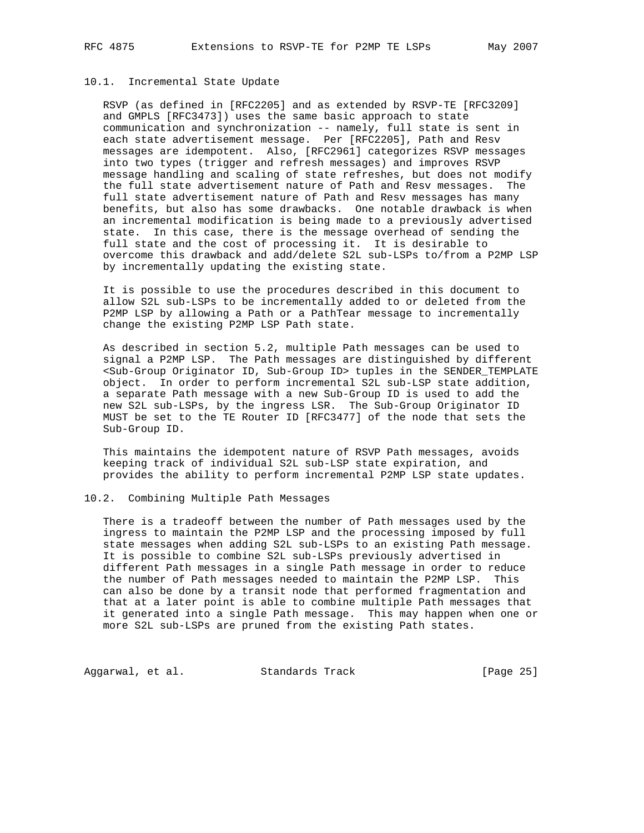## 10.1. Incremental State Update

 RSVP (as defined in [RFC2205] and as extended by RSVP-TE [RFC3209] and GMPLS [RFC3473]) uses the same basic approach to state communication and synchronization -- namely, full state is sent in each state advertisement message. Per [RFC2205], Path and Resv messages are idempotent. Also, [RFC2961] categorizes RSVP messages into two types (trigger and refresh messages) and improves RSVP message handling and scaling of state refreshes, but does not modify the full state advertisement nature of Path and Resv messages. The full state advertisement nature of Path and Resv messages has many benefits, but also has some drawbacks. One notable drawback is when an incremental modification is being made to a previously advertised state. In this case, there is the message overhead of sending the full state and the cost of processing it. It is desirable to overcome this drawback and add/delete S2L sub-LSPs to/from a P2MP LSP by incrementally updating the existing state.

 It is possible to use the procedures described in this document to allow S2L sub-LSPs to be incrementally added to or deleted from the P2MP LSP by allowing a Path or a PathTear message to incrementally change the existing P2MP LSP Path state.

 As described in section 5.2, multiple Path messages can be used to signal a P2MP LSP. The Path messages are distinguished by different <Sub-Group Originator ID, Sub-Group ID> tuples in the SENDER\_TEMPLATE object. In order to perform incremental S2L sub-LSP state addition, a separate Path message with a new Sub-Group ID is used to add the new S2L sub-LSPs, by the ingress LSR. The Sub-Group Originator ID MUST be set to the TE Router ID [RFC3477] of the node that sets the Sub-Group ID.

 This maintains the idempotent nature of RSVP Path messages, avoids keeping track of individual S2L sub-LSP state expiration, and provides the ability to perform incremental P2MP LSP state updates.

## 10.2. Combining Multiple Path Messages

 There is a tradeoff between the number of Path messages used by the ingress to maintain the P2MP LSP and the processing imposed by full state messages when adding S2L sub-LSPs to an existing Path message. It is possible to combine S2L sub-LSPs previously advertised in different Path messages in a single Path message in order to reduce the number of Path messages needed to maintain the P2MP LSP. This can also be done by a transit node that performed fragmentation and that at a later point is able to combine multiple Path messages that it generated into a single Path message. This may happen when one or more S2L sub-LSPs are pruned from the existing Path states.

Aggarwal, et al. Standards Track [Page 25]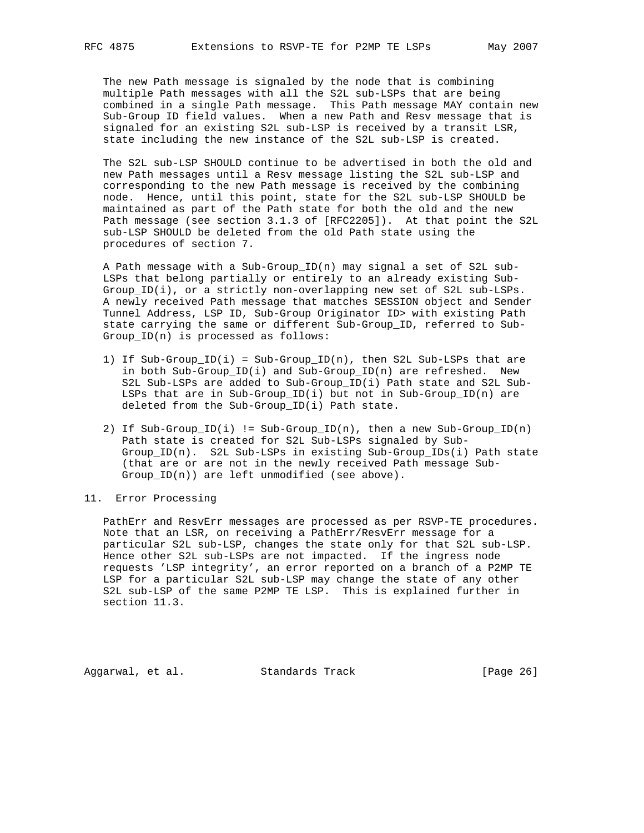The new Path message is signaled by the node that is combining multiple Path messages with all the S2L sub-LSPs that are being combined in a single Path message. This Path message MAY contain new Sub-Group ID field values. When a new Path and Resv message that is signaled for an existing S2L sub-LSP is received by a transit LSR, state including the new instance of the S2L sub-LSP is created.

 The S2L sub-LSP SHOULD continue to be advertised in both the old and new Path messages until a Resv message listing the S2L sub-LSP and corresponding to the new Path message is received by the combining node. Hence, until this point, state for the S2L sub-LSP SHOULD be maintained as part of the Path state for both the old and the new Path message (see section 3.1.3 of [RFC2205]). At that point the S2L sub-LSP SHOULD be deleted from the old Path state using the procedures of section 7.

 A Path message with a Sub-Group\_ID(n) may signal a set of S2L sub- LSPs that belong partially or entirely to an already existing Sub- Group\_ID(i), or a strictly non-overlapping new set of S2L sub-LSPs. A newly received Path message that matches SESSION object and Sender Tunnel Address, LSP ID, Sub-Group Originator ID> with existing Path state carrying the same or different Sub-Group\_ID, referred to Sub- Group\_ID(n) is processed as follows:

- 1) If Sub-Group\_ID(i) = Sub-Group\_ID(n), then S2L Sub-LSPs that are in both Sub-Group\_ID(i) and Sub-Group\_ID(n) are refreshed. New S2L Sub-LSPs are added to Sub-Group\_ID(i) Path state and S2L Sub- LSPs that are in Sub-Group\_ID(i) but not in Sub-Group\_ID(n) are deleted from the Sub-Group\_ID(i) Path state.
- 2) If Sub-Group\_ID(i) != Sub-Group\_ID(n), then a new Sub-Group\_ID(n) Path state is created for S2L Sub-LSPs signaled by Sub- Group\_ID(n). S2L Sub-LSPs in existing Sub-Group\_IDs(i) Path state (that are or are not in the newly received Path message Sub- Group\_ID(n)) are left unmodified (see above).
- 11. Error Processing

 PathErr and ResvErr messages are processed as per RSVP-TE procedures. Note that an LSR, on receiving a PathErr/ResvErr message for a particular S2L sub-LSP, changes the state only for that S2L sub-LSP. Hence other S2L sub-LSPs are not impacted. If the ingress node requests 'LSP integrity', an error reported on a branch of a P2MP TE LSP for a particular S2L sub-LSP may change the state of any other S2L sub-LSP of the same P2MP TE LSP. This is explained further in section 11.3.

Aggarwal, et al. Standards Track [Page 26]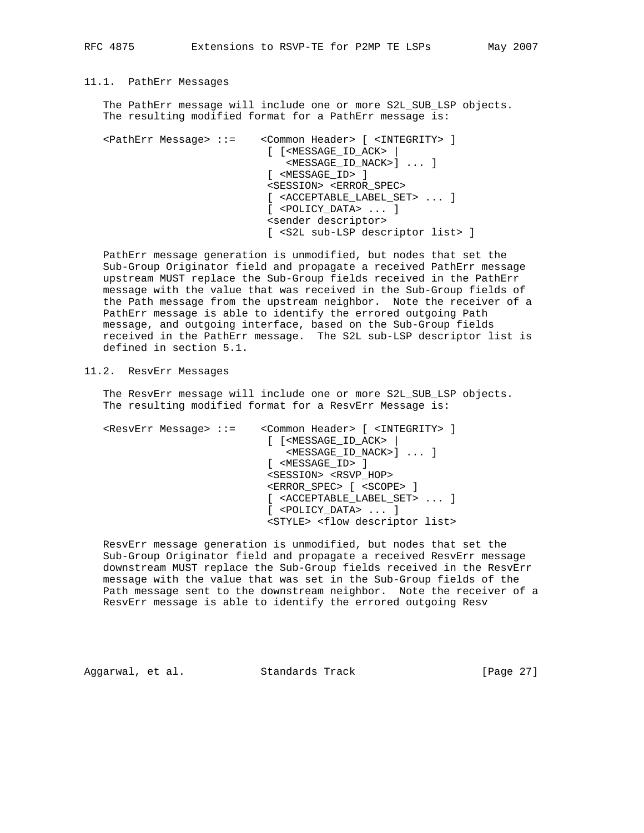## 11.1. PathErr Messages

 The PathErr message will include one or more S2L\_SUB\_LSP objects. The resulting modified format for a PathErr message is:

 <PathErr Message> ::= <Common Header> [ <INTEGRITY> ] [ [<MESSAGE\_ID\_ACK> | <MESSAGE\_ID\_NACK>] ... ] [ <MESSAGE\_ID> ] <SESSION> <ERROR\_SPEC> [ <ACCEPTABLE\_LABEL\_SET> ... ] [ <POLICY\_DATA> ... ] <sender descriptor> [ <S2L sub-LSP descriptor list> ]

 PathErr message generation is unmodified, but nodes that set the Sub-Group Originator field and propagate a received PathErr message upstream MUST replace the Sub-Group fields received in the PathErr message with the value that was received in the Sub-Group fields of the Path message from the upstream neighbor. Note the receiver of a PathErr message is able to identify the errored outgoing Path message, and outgoing interface, based on the Sub-Group fields received in the PathErr message. The S2L sub-LSP descriptor list is defined in section 5.1.

11.2. ResvErr Messages

 The ResvErr message will include one or more S2L\_SUB\_LSP objects. The resulting modified format for a ResvErr Message is:

 <ResvErr Message> ::= <Common Header> [ <INTEGRITY> ] [ [<MESSAGE\_ID\_ACK> | <MESSAGE\_ID\_NACK>] ... ] [ <MESSAGE\_ID> ] <SESSION> <RSVP\_HOP> <ERROR\_SPEC> [ <SCOPE> ] [ <ACCEPTABLE\_LABEL\_SET> ... ] [ <POLICY\_DATA> ... ] <STYLE> <flow descriptor list>

 ResvErr message generation is unmodified, but nodes that set the Sub-Group Originator field and propagate a received ResvErr message downstream MUST replace the Sub-Group fields received in the ResvErr message with the value that was set in the Sub-Group fields of the Path message sent to the downstream neighbor. Note the receiver of a ResvErr message is able to identify the errored outgoing Resv

Aggarwal, et al. Standards Track [Page 27]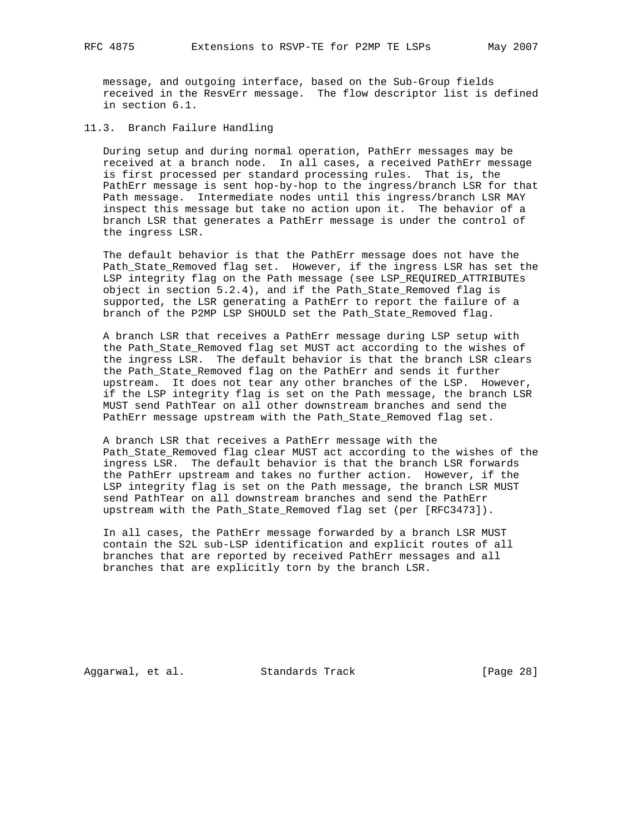message, and outgoing interface, based on the Sub-Group fields received in the ResvErr message. The flow descriptor list is defined in section 6.1.

11.3. Branch Failure Handling

 During setup and during normal operation, PathErr messages may be received at a branch node. In all cases, a received PathErr message is first processed per standard processing rules. That is, the PathErr message is sent hop-by-hop to the ingress/branch LSR for that Path message. Intermediate nodes until this ingress/branch LSR MAY inspect this message but take no action upon it. The behavior of a branch LSR that generates a PathErr message is under the control of the ingress LSR.

 The default behavior is that the PathErr message does not have the Path\_State\_Removed flag set. However, if the ingress LSR has set the LSP integrity flag on the Path message (see LSP\_REQUIRED\_ATTRIBUTEs object in section 5.2.4), and if the Path\_State\_Removed flag is supported, the LSR generating a PathErr to report the failure of a branch of the P2MP LSP SHOULD set the Path\_State\_Removed flag.

 A branch LSR that receives a PathErr message during LSP setup with the Path\_State\_Removed flag set MUST act according to the wishes of the ingress LSR. The default behavior is that the branch LSR clears the Path\_State\_Removed flag on the PathErr and sends it further upstream. It does not tear any other branches of the LSP. However, if the LSP integrity flag is set on the Path message, the branch LSR MUST send PathTear on all other downstream branches and send the PathErr message upstream with the Path\_State\_Removed flag set.

 A branch LSR that receives a PathErr message with the Path\_State\_Removed flag clear MUST act according to the wishes of the ingress LSR. The default behavior is that the branch LSR forwards the PathErr upstream and takes no further action. However, if the LSP integrity flag is set on the Path message, the branch LSR MUST send PathTear on all downstream branches and send the PathErr upstream with the Path\_State\_Removed flag set (per [RFC3473]).

 In all cases, the PathErr message forwarded by a branch LSR MUST contain the S2L sub-LSP identification and explicit routes of all branches that are reported by received PathErr messages and all branches that are explicitly torn by the branch LSR.

Aggarwal, et al. Standards Track [Page 28]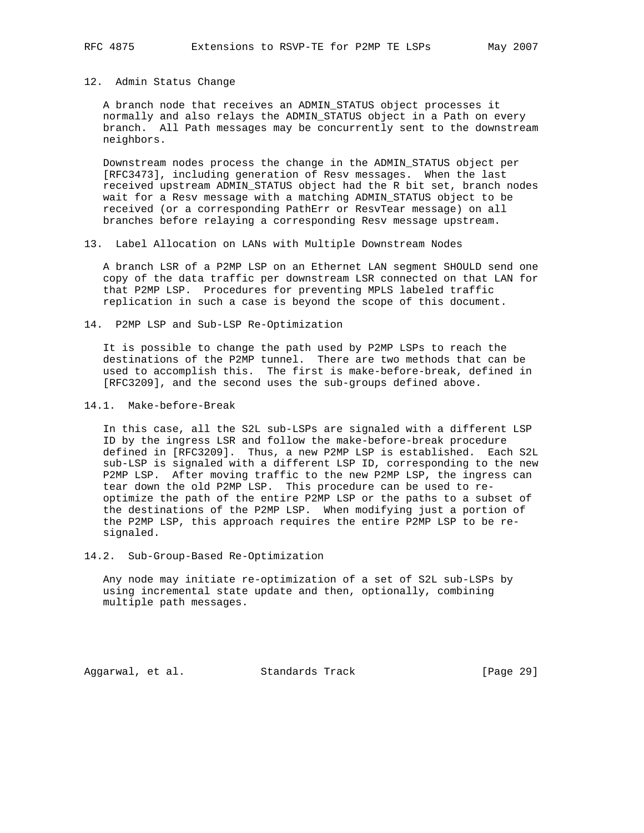#### 12. Admin Status Change

 A branch node that receives an ADMIN\_STATUS object processes it normally and also relays the ADMIN\_STATUS object in a Path on every branch. All Path messages may be concurrently sent to the downstream neighbors.

 Downstream nodes process the change in the ADMIN\_STATUS object per [RFC3473], including generation of Resv messages. When the last received upstream ADMIN\_STATUS object had the R bit set, branch nodes wait for a Resv message with a matching ADMIN\_STATUS object to be received (or a corresponding PathErr or ResvTear message) on all branches before relaying a corresponding Resv message upstream.

13. Label Allocation on LANs with Multiple Downstream Nodes

 A branch LSR of a P2MP LSP on an Ethernet LAN segment SHOULD send one copy of the data traffic per downstream LSR connected on that LAN for that P2MP LSP. Procedures for preventing MPLS labeled traffic replication in such a case is beyond the scope of this document.

14. P2MP LSP and Sub-LSP Re-Optimization

 It is possible to change the path used by P2MP LSPs to reach the destinations of the P2MP tunnel. There are two methods that can be used to accomplish this. The first is make-before-break, defined in [RFC3209], and the second uses the sub-groups defined above.

14.1. Make-before-Break

 In this case, all the S2L sub-LSPs are signaled with a different LSP ID by the ingress LSR and follow the make-before-break procedure defined in [RFC3209]. Thus, a new P2MP LSP is established. Each S2L sub-LSP is signaled with a different LSP ID, corresponding to the new P2MP LSP. After moving traffic to the new P2MP LSP, the ingress can tear down the old P2MP LSP. This procedure can be used to re optimize the path of the entire P2MP LSP or the paths to a subset of the destinations of the P2MP LSP. When modifying just a portion of the P2MP LSP, this approach requires the entire P2MP LSP to be re signaled.

14.2. Sub-Group-Based Re-Optimization

 Any node may initiate re-optimization of a set of S2L sub-LSPs by using incremental state update and then, optionally, combining multiple path messages.

Aggarwal, et al. Standards Track [Page 29]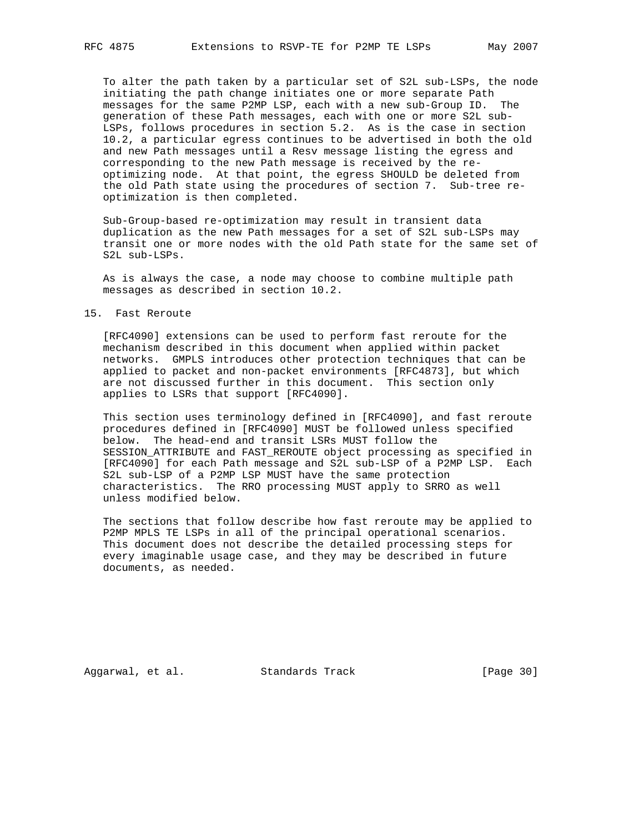To alter the path taken by a particular set of S2L sub-LSPs, the node initiating the path change initiates one or more separate Path messages for the same P2MP LSP, each with a new sub-Group ID. The generation of these Path messages, each with one or more S2L sub- LSPs, follows procedures in section 5.2. As is the case in section 10.2, a particular egress continues to be advertised in both the old and new Path messages until a Resv message listing the egress and corresponding to the new Path message is received by the re optimizing node. At that point, the egress SHOULD be deleted from the old Path state using the procedures of section 7. Sub-tree re optimization is then completed.

 Sub-Group-based re-optimization may result in transient data duplication as the new Path messages for a set of S2L sub-LSPs may transit one or more nodes with the old Path state for the same set of S2L sub-LSPs.

 As is always the case, a node may choose to combine multiple path messages as described in section 10.2.

#### 15. Fast Reroute

 [RFC4090] extensions can be used to perform fast reroute for the mechanism described in this document when applied within packet networks. GMPLS introduces other protection techniques that can be applied to packet and non-packet environments [RFC4873], but which are not discussed further in this document. This section only applies to LSRs that support [RFC4090].

 This section uses terminology defined in [RFC4090], and fast reroute procedures defined in [RFC4090] MUST be followed unless specified below. The head-end and transit LSRs MUST follow the SESSION\_ATTRIBUTE and FAST\_REROUTE object processing as specified in [RFC4090] for each Path message and S2L sub-LSP of a P2MP LSP. Each S2L sub-LSP of a P2MP LSP MUST have the same protection characteristics. The RRO processing MUST apply to SRRO as well unless modified below.

 The sections that follow describe how fast reroute may be applied to P2MP MPLS TE LSPs in all of the principal operational scenarios. This document does not describe the detailed processing steps for every imaginable usage case, and they may be described in future documents, as needed.

Aggarwal, et al. Standards Track [Page 30]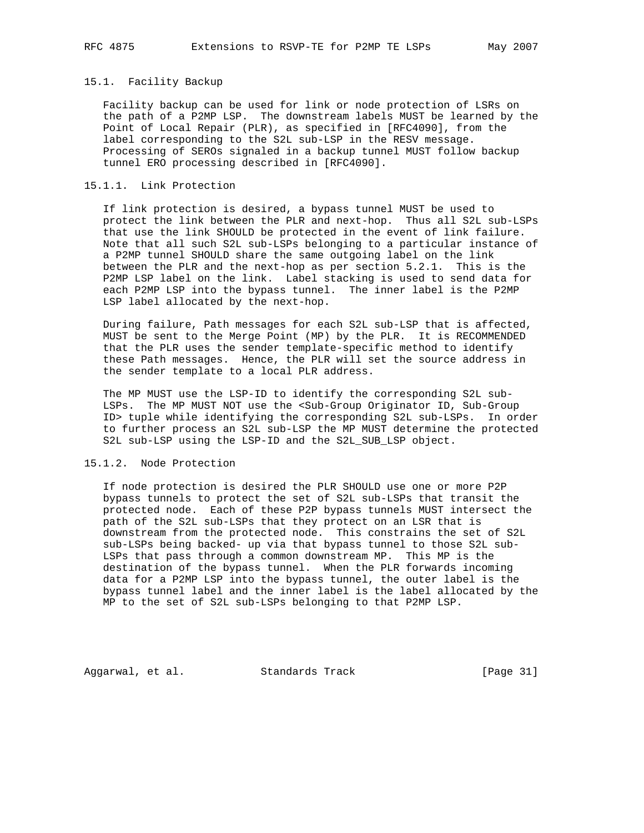#### 15.1. Facility Backup

 Facility backup can be used for link or node protection of LSRs on the path of a P2MP LSP. The downstream labels MUST be learned by the Point of Local Repair (PLR), as specified in [RFC4090], from the label corresponding to the S2L sub-LSP in the RESV message. Processing of SEROs signaled in a backup tunnel MUST follow backup tunnel ERO processing described in [RFC4090].

## 15.1.1. Link Protection

 If link protection is desired, a bypass tunnel MUST be used to protect the link between the PLR and next-hop. Thus all S2L sub-LSPs that use the link SHOULD be protected in the event of link failure. Note that all such S2L sub-LSPs belonging to a particular instance of a P2MP tunnel SHOULD share the same outgoing label on the link between the PLR and the next-hop as per section 5.2.1. This is the P2MP LSP label on the link. Label stacking is used to send data for each P2MP LSP into the bypass tunnel. The inner label is the P2MP LSP label allocated by the next-hop.

 During failure, Path messages for each S2L sub-LSP that is affected, MUST be sent to the Merge Point (MP) by the PLR. It is RECOMMENDED that the PLR uses the sender template-specific method to identify these Path messages. Hence, the PLR will set the source address in the sender template to a local PLR address.

 The MP MUST use the LSP-ID to identify the corresponding S2L sub- LSPs. The MP MUST NOT use the <Sub-Group Originator ID, Sub-Group ID> tuple while identifying the corresponding S2L sub-LSPs. In order to further process an S2L sub-LSP the MP MUST determine the protected S2L sub-LSP using the LSP-ID and the S2L\_SUB\_LSP object.

## 15.1.2. Node Protection

 If node protection is desired the PLR SHOULD use one or more P2P bypass tunnels to protect the set of S2L sub-LSPs that transit the protected node. Each of these P2P bypass tunnels MUST intersect the path of the S2L sub-LSPs that they protect on an LSR that is downstream from the protected node. This constrains the set of S2L sub-LSPs being backed- up via that bypass tunnel to those S2L sub- LSPs that pass through a common downstream MP. This MP is the destination of the bypass tunnel. When the PLR forwards incoming data for a P2MP LSP into the bypass tunnel, the outer label is the bypass tunnel label and the inner label is the label allocated by the MP to the set of S2L sub-LSPs belonging to that P2MP LSP.

Aggarwal, et al. Standards Track [Page 31]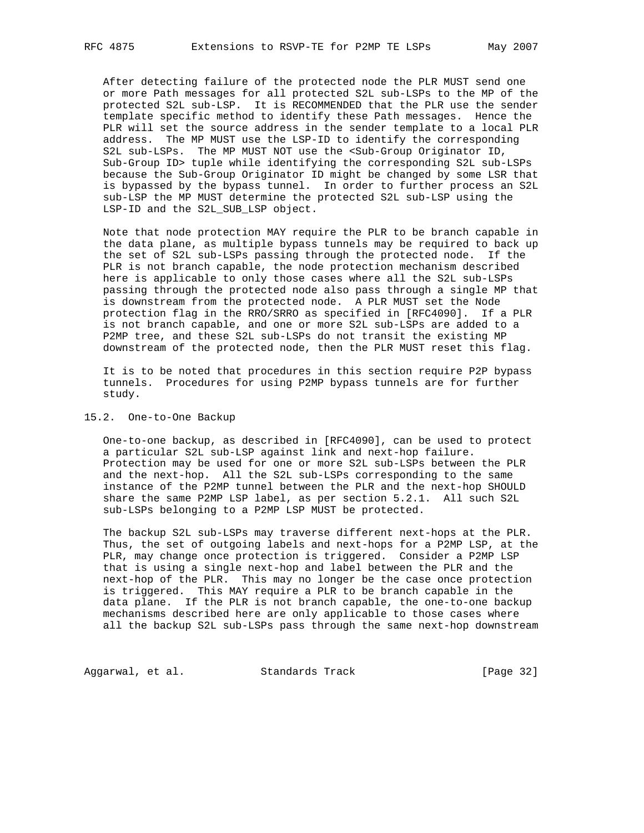After detecting failure of the protected node the PLR MUST send one or more Path messages for all protected S2L sub-LSPs to the MP of the protected S2L sub-LSP. It is RECOMMENDED that the PLR use the sender template specific method to identify these Path messages. Hence the PLR will set the source address in the sender template to a local PLR address. The MP MUST use the LSP-ID to identify the corresponding S2L sub-LSPs. The MP MUST NOT use the <Sub-Group Originator ID, Sub-Group ID> tuple while identifying the corresponding S2L sub-LSPs because the Sub-Group Originator ID might be changed by some LSR that is bypassed by the bypass tunnel. In order to further process an S2L sub-LSP the MP MUST determine the protected S2L sub-LSP using the LSP-ID and the S2L\_SUB\_LSP object.

 Note that node protection MAY require the PLR to be branch capable in the data plane, as multiple bypass tunnels may be required to back up the set of S2L sub-LSPs passing through the protected node. If the PLR is not branch capable, the node protection mechanism described here is applicable to only those cases where all the S2L sub-LSPs passing through the protected node also pass through a single MP that is downstream from the protected node. A PLR MUST set the Node protection flag in the RRO/SRRO as specified in [RFC4090]. If a PLR is not branch capable, and one or more S2L sub-LSPs are added to a P2MP tree, and these S2L sub-LSPs do not transit the existing MP downstream of the protected node, then the PLR MUST reset this flag.

 It is to be noted that procedures in this section require P2P bypass tunnels. Procedures for using P2MP bypass tunnels are for further study.

#### 15.2. One-to-One Backup

 One-to-one backup, as described in [RFC4090], can be used to protect a particular S2L sub-LSP against link and next-hop failure. Protection may be used for one or more S2L sub-LSPs between the PLR and the next-hop. All the S2L sub-LSPs corresponding to the same instance of the P2MP tunnel between the PLR and the next-hop SHOULD share the same P2MP LSP label, as per section 5.2.1. All such S2L sub-LSPs belonging to a P2MP LSP MUST be protected.

 The backup S2L sub-LSPs may traverse different next-hops at the PLR. Thus, the set of outgoing labels and next-hops for a P2MP LSP, at the PLR, may change once protection is triggered. Consider a P2MP LSP that is using a single next-hop and label between the PLR and the next-hop of the PLR. This may no longer be the case once protection is triggered. This MAY require a PLR to be branch capable in the data plane. If the PLR is not branch capable, the one-to-one backup mechanisms described here are only applicable to those cases where all the backup S2L sub-LSPs pass through the same next-hop downstream

Aggarwal, et al. Standards Track [Page 32]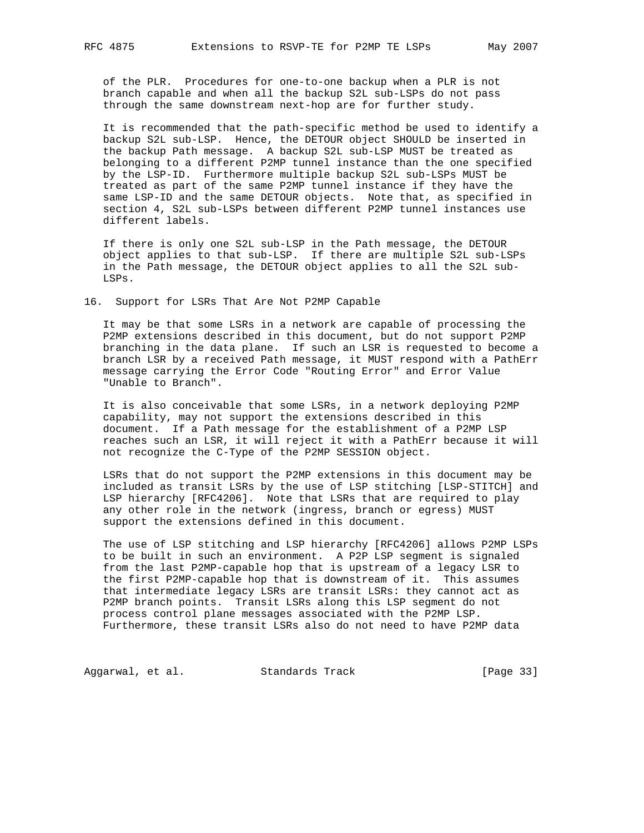of the PLR. Procedures for one-to-one backup when a PLR is not branch capable and when all the backup S2L sub-LSPs do not pass through the same downstream next-hop are for further study.

 It is recommended that the path-specific method be used to identify a backup S2L sub-LSP. Hence, the DETOUR object SHOULD be inserted in the backup Path message. A backup S2L sub-LSP MUST be treated as belonging to a different P2MP tunnel instance than the one specified by the LSP-ID. Furthermore multiple backup S2L sub-LSPs MUST be treated as part of the same P2MP tunnel instance if they have the same LSP-ID and the same DETOUR objects. Note that, as specified in section 4, S2L sub-LSPs between different P2MP tunnel instances use different labels.

 If there is only one S2L sub-LSP in the Path message, the DETOUR object applies to that sub-LSP. If there are multiple S2L sub-LSPs in the Path message, the DETOUR object applies to all the S2L sub- LSPs.

16. Support for LSRs That Are Not P2MP Capable

 It may be that some LSRs in a network are capable of processing the P2MP extensions described in this document, but do not support P2MP branching in the data plane. If such an LSR is requested to become a branch LSR by a received Path message, it MUST respond with a PathErr message carrying the Error Code "Routing Error" and Error Value "Unable to Branch".

 It is also conceivable that some LSRs, in a network deploying P2MP capability, may not support the extensions described in this document. If a Path message for the establishment of a P2MP LSP reaches such an LSR, it will reject it with a PathErr because it will not recognize the C-Type of the P2MP SESSION object.

 LSRs that do not support the P2MP extensions in this document may be included as transit LSRs by the use of LSP stitching [LSP-STITCH] and LSP hierarchy [RFC4206]. Note that LSRs that are required to play any other role in the network (ingress, branch or egress) MUST support the extensions defined in this document.

 The use of LSP stitching and LSP hierarchy [RFC4206] allows P2MP LSPs to be built in such an environment. A P2P LSP segment is signaled from the last P2MP-capable hop that is upstream of a legacy LSR to the first P2MP-capable hop that is downstream of it. This assumes that intermediate legacy LSRs are transit LSRs: they cannot act as P2MP branch points. Transit LSRs along this LSP segment do not process control plane messages associated with the P2MP LSP. Furthermore, these transit LSRs also do not need to have P2MP data

Aggarwal, et al. Standards Track [Page 33]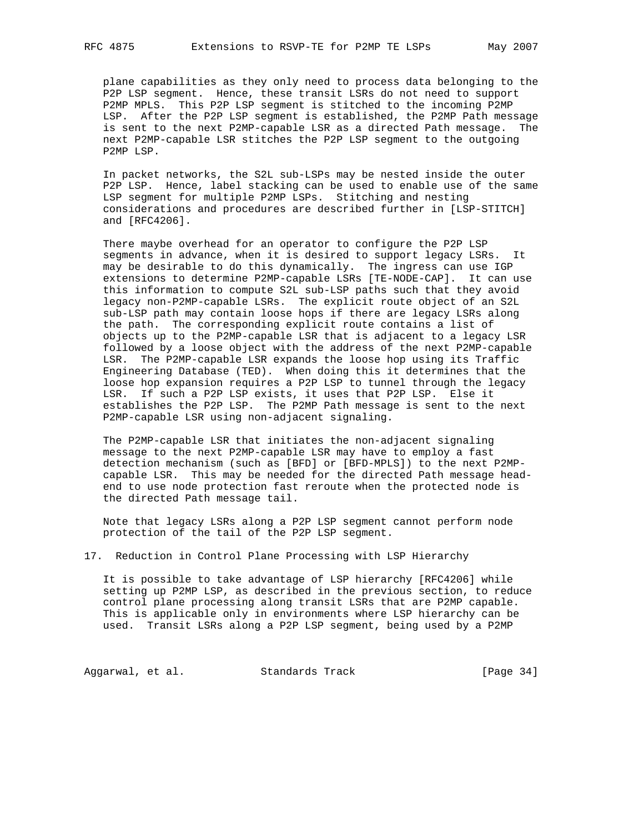plane capabilities as they only need to process data belonging to the P2P LSP segment. Hence, these transit LSRs do not need to support P2MP MPLS. This P2P LSP segment is stitched to the incoming P2MP LSP. After the P2P LSP segment is established, the P2MP Path message is sent to the next P2MP-capable LSR as a directed Path message. The next P2MP-capable LSR stitches the P2P LSP segment to the outgoing P2MP LSP.

 In packet networks, the S2L sub-LSPs may be nested inside the outer P2P LSP. Hence, label stacking can be used to enable use of the same LSP segment for multiple P2MP LSPs. Stitching and nesting considerations and procedures are described further in [LSP-STITCH] and [RFC4206].

 There maybe overhead for an operator to configure the P2P LSP segments in advance, when it is desired to support legacy LSRs. It may be desirable to do this dynamically. The ingress can use IGP extensions to determine P2MP-capable LSRs [TE-NODE-CAP]. It can use this information to compute S2L sub-LSP paths such that they avoid legacy non-P2MP-capable LSRs. The explicit route object of an S2L sub-LSP path may contain loose hops if there are legacy LSRs along the path. The corresponding explicit route contains a list of objects up to the P2MP-capable LSR that is adjacent to a legacy LSR followed by a loose object with the address of the next P2MP-capable LSR. The P2MP-capable LSR expands the loose hop using its Traffic Engineering Database (TED). When doing this it determines that the loose hop expansion requires a P2P LSP to tunnel through the legacy LSR. If such a P2P LSP exists, it uses that P2P LSP. Else it establishes the P2P LSP. The P2MP Path message is sent to the next P2MP-capable LSR using non-adjacent signaling.

 The P2MP-capable LSR that initiates the non-adjacent signaling message to the next P2MP-capable LSR may have to employ a fast detection mechanism (such as [BFD] or [BFD-MPLS]) to the next P2MP capable LSR. This may be needed for the directed Path message head end to use node protection fast reroute when the protected node is the directed Path message tail.

 Note that legacy LSRs along a P2P LSP segment cannot perform node protection of the tail of the P2P LSP segment.

17. Reduction in Control Plane Processing with LSP Hierarchy

 It is possible to take advantage of LSP hierarchy [RFC4206] while setting up P2MP LSP, as described in the previous section, to reduce control plane processing along transit LSRs that are P2MP capable. This is applicable only in environments where LSP hierarchy can be used. Transit LSRs along a P2P LSP segment, being used by a P2MP

Aggarwal, et al. Standards Track [Page 34]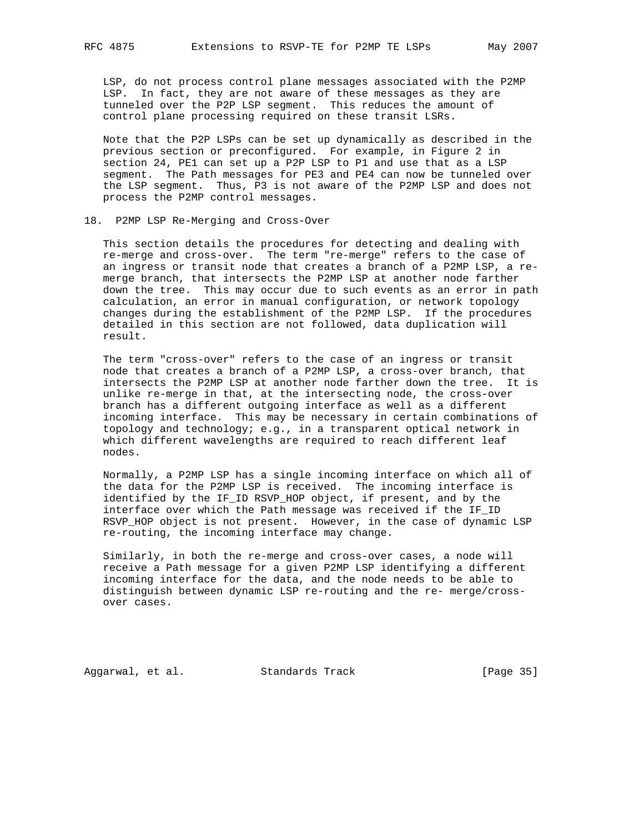LSP, do not process control plane messages associated with the P2MP LSP. In fact, they are not aware of these messages as they are tunneled over the P2P LSP segment. This reduces the amount of control plane processing required on these transit LSRs.

 Note that the P2P LSPs can be set up dynamically as described in the previous section or preconfigured. For example, in Figure 2 in section 24, PE1 can set up a P2P LSP to P1 and use that as a LSP segment. The Path messages for PE3 and PE4 can now be tunneled over the LSP segment. Thus, P3 is not aware of the P2MP LSP and does not process the P2MP control messages.

#### 18. P2MP LSP Re-Merging and Cross-Over

 This section details the procedures for detecting and dealing with re-merge and cross-over. The term "re-merge" refers to the case of an ingress or transit node that creates a branch of a P2MP LSP, a re merge branch, that intersects the P2MP LSP at another node farther down the tree. This may occur due to such events as an error in path calculation, an error in manual configuration, or network topology changes during the establishment of the P2MP LSP. If the procedures detailed in this section are not followed, data duplication will result.

 The term "cross-over" refers to the case of an ingress or transit node that creates a branch of a P2MP LSP, a cross-over branch, that intersects the P2MP LSP at another node farther down the tree. It is unlike re-merge in that, at the intersecting node, the cross-over branch has a different outgoing interface as well as a different incoming interface. This may be necessary in certain combinations of topology and technology; e.g., in a transparent optical network in which different wavelengths are required to reach different leaf nodes.

 Normally, a P2MP LSP has a single incoming interface on which all of the data for the P2MP LSP is received. The incoming interface is identified by the IF\_ID RSVP\_HOP object, if present, and by the interface over which the Path message was received if the IF\_ID RSVP\_HOP object is not present. However, in the case of dynamic LSP re-routing, the incoming interface may change.

 Similarly, in both the re-merge and cross-over cases, a node will receive a Path message for a given P2MP LSP identifying a different incoming interface for the data, and the node needs to be able to distinguish between dynamic LSP re-routing and the re- merge/cross over cases.

Aggarwal, et al. Standards Track [Page 35]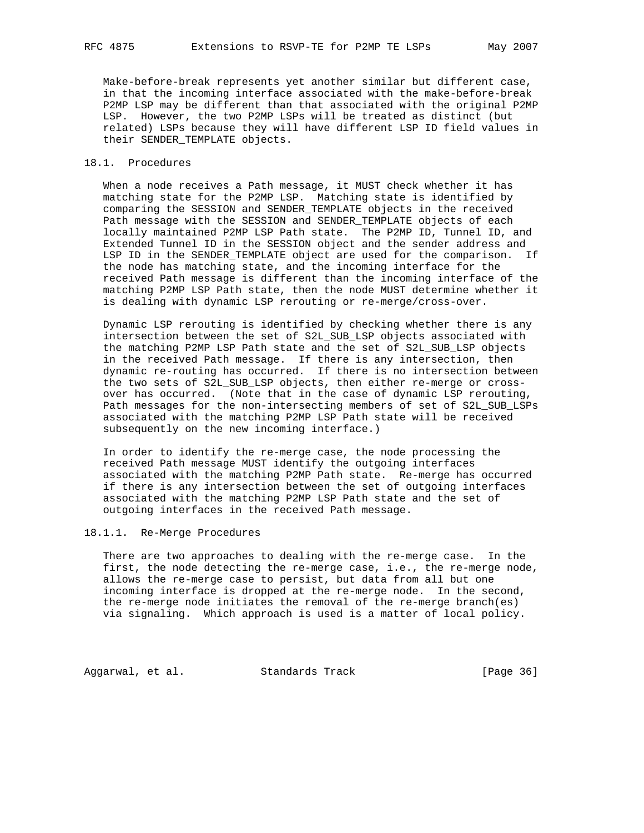Make-before-break represents yet another similar but different case, in that the incoming interface associated with the make-before-break P2MP LSP may be different than that associated with the original P2MP LSP. However, the two P2MP LSPs will be treated as distinct (but related) LSPs because they will have different LSP ID field values in their SENDER\_TEMPLATE objects.

## 18.1. Procedures

 When a node receives a Path message, it MUST check whether it has matching state for the P2MP LSP. Matching state is identified by comparing the SESSION and SENDER\_TEMPLATE objects in the received Path message with the SESSION and SENDER\_TEMPLATE objects of each locally maintained P2MP LSP Path state. The P2MP ID, Tunnel ID, and Extended Tunnel ID in the SESSION object and the sender address and LSP ID in the SENDER\_TEMPLATE object are used for the comparison. If the node has matching state, and the incoming interface for the received Path message is different than the incoming interface of the matching P2MP LSP Path state, then the node MUST determine whether it is dealing with dynamic LSP rerouting or re-merge/cross-over.

 Dynamic LSP rerouting is identified by checking whether there is any intersection between the set of S2L\_SUB\_LSP objects associated with the matching P2MP LSP Path state and the set of S2L\_SUB\_LSP objects in the received Path message. If there is any intersection, then dynamic re-routing has occurred. If there is no intersection between the two sets of S2L\_SUB\_LSP objects, then either re-merge or cross over has occurred. (Note that in the case of dynamic LSP rerouting, Path messages for the non-intersecting members of set of S2L\_SUB\_LSPs associated with the matching P2MP LSP Path state will be received subsequently on the new incoming interface.)

 In order to identify the re-merge case, the node processing the received Path message MUST identify the outgoing interfaces associated with the matching P2MP Path state. Re-merge has occurred if there is any intersection between the set of outgoing interfaces associated with the matching P2MP LSP Path state and the set of outgoing interfaces in the received Path message.

## 18.1.1. Re-Merge Procedures

 There are two approaches to dealing with the re-merge case. In the first, the node detecting the re-merge case, i.e., the re-merge node, allows the re-merge case to persist, but data from all but one incoming interface is dropped at the re-merge node. In the second, the re-merge node initiates the removal of the re-merge branch(es) via signaling. Which approach is used is a matter of local policy.

Aggarwal, et al. Standards Track [Page 36]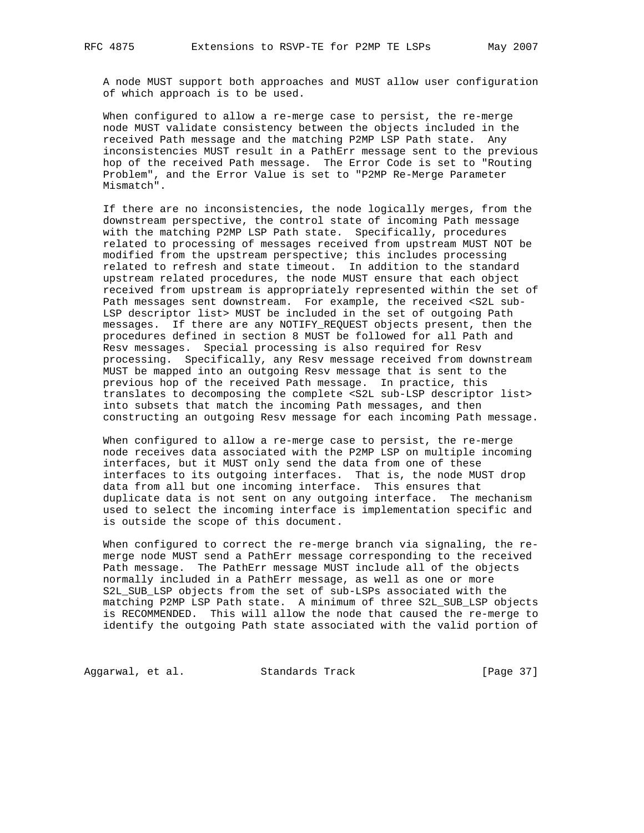A node MUST support both approaches and MUST allow user configuration of which approach is to be used.

 When configured to allow a re-merge case to persist, the re-merge node MUST validate consistency between the objects included in the received Path message and the matching P2MP LSP Path state. Any inconsistencies MUST result in a PathErr message sent to the previous hop of the received Path message. The Error Code is set to "Routing Problem", and the Error Value is set to "P2MP Re-Merge Parameter Mismatch".

 If there are no inconsistencies, the node logically merges, from the downstream perspective, the control state of incoming Path message with the matching P2MP LSP Path state. Specifically, procedures related to processing of messages received from upstream MUST NOT be modified from the upstream perspective; this includes processing related to refresh and state timeout. In addition to the standard upstream related procedures, the node MUST ensure that each object received from upstream is appropriately represented within the set of Path messages sent downstream. For example, the received <S2L sub- LSP descriptor list> MUST be included in the set of outgoing Path messages. If there are any NOTIFY\_REQUEST objects present, then the procedures defined in section 8 MUST be followed for all Path and Resv messages. Special processing is also required for Resv processing. Specifically, any Resv message received from downstream MUST be mapped into an outgoing Resv message that is sent to the previous hop of the received Path message. In practice, this translates to decomposing the complete <S2L sub-LSP descriptor list> into subsets that match the incoming Path messages, and then constructing an outgoing Resv message for each incoming Path message.

 When configured to allow a re-merge case to persist, the re-merge node receives data associated with the P2MP LSP on multiple incoming interfaces, but it MUST only send the data from one of these interfaces to its outgoing interfaces. That is, the node MUST drop data from all but one incoming interface. This ensures that duplicate data is not sent on any outgoing interface. The mechanism used to select the incoming interface is implementation specific and is outside the scope of this document.

 When configured to correct the re-merge branch via signaling, the re merge node MUST send a PathErr message corresponding to the received Path message. The PathErr message MUST include all of the objects normally included in a PathErr message, as well as one or more S2L\_SUB\_LSP objects from the set of sub-LSPs associated with the matching P2MP LSP Path state. A minimum of three S2L\_SUB\_LSP objects is RECOMMENDED. This will allow the node that caused the re-merge to identify the outgoing Path state associated with the valid portion of

Aggarwal, et al. Standards Track [Page 37]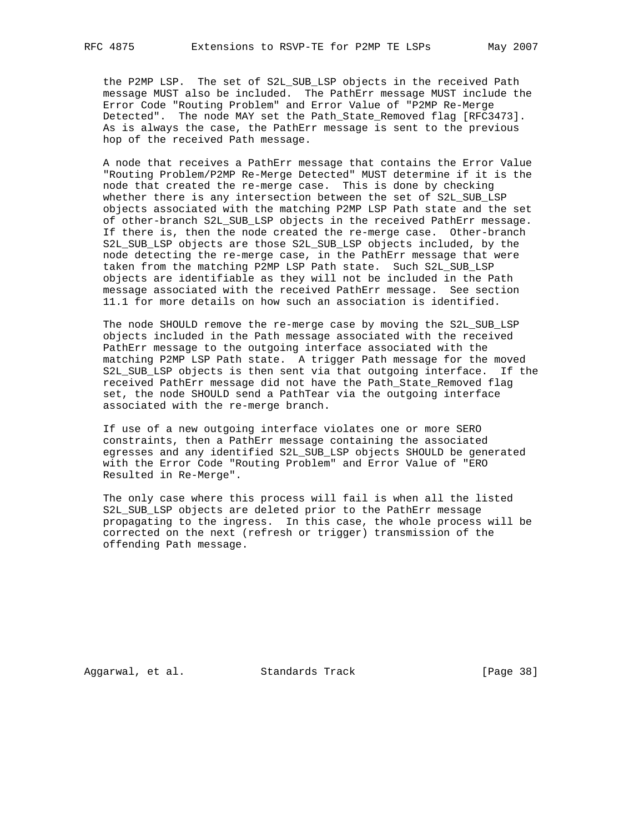the P2MP LSP. The set of S2L\_SUB\_LSP objects in the received Path message MUST also be included. The PathErr message MUST include the Error Code "Routing Problem" and Error Value of "P2MP Re-Merge Detected". The node MAY set the Path\_State\_Removed flag [RFC3473]. As is always the case, the PathErr message is sent to the previous hop of the received Path message.

 A node that receives a PathErr message that contains the Error Value "Routing Problem/P2MP Re-Merge Detected" MUST determine if it is the node that created the re-merge case. This is done by checking whether there is any intersection between the set of S2L\_SUB\_LSP objects associated with the matching P2MP LSP Path state and the set of other-branch S2L SUB LSP objects in the received PathErr message. If there is, then the node created the re-merge case. Other-branch S2L\_SUB\_LSP objects are those S2L\_SUB\_LSP objects included, by the node detecting the re-merge case, in the PathErr message that were taken from the matching P2MP LSP Path state. Such S2L\_SUB\_LSP objects are identifiable as they will not be included in the Path message associated with the received PathErr message. See section 11.1 for more details on how such an association is identified.

 The node SHOULD remove the re-merge case by moving the S2L\_SUB\_LSP objects included in the Path message associated with the received PathErr message to the outgoing interface associated with the matching P2MP LSP Path state. A trigger Path message for the moved S2L\_SUB\_LSP objects is then sent via that outgoing interface. If the received PathErr message did not have the Path\_State\_Removed flag set, the node SHOULD send a PathTear via the outgoing interface associated with the re-merge branch.

 If use of a new outgoing interface violates one or more SERO constraints, then a PathErr message containing the associated egresses and any identified S2L\_SUB\_LSP objects SHOULD be generated with the Error Code "Routing Problem" and Error Value of "ERO Resulted in Re-Merge".

 The only case where this process will fail is when all the listed S2L\_SUB\_LSP objects are deleted prior to the PathErr message propagating to the ingress. In this case, the whole process will be corrected on the next (refresh or trigger) transmission of the offending Path message.

Aggarwal, et al. Standards Track [Page 38]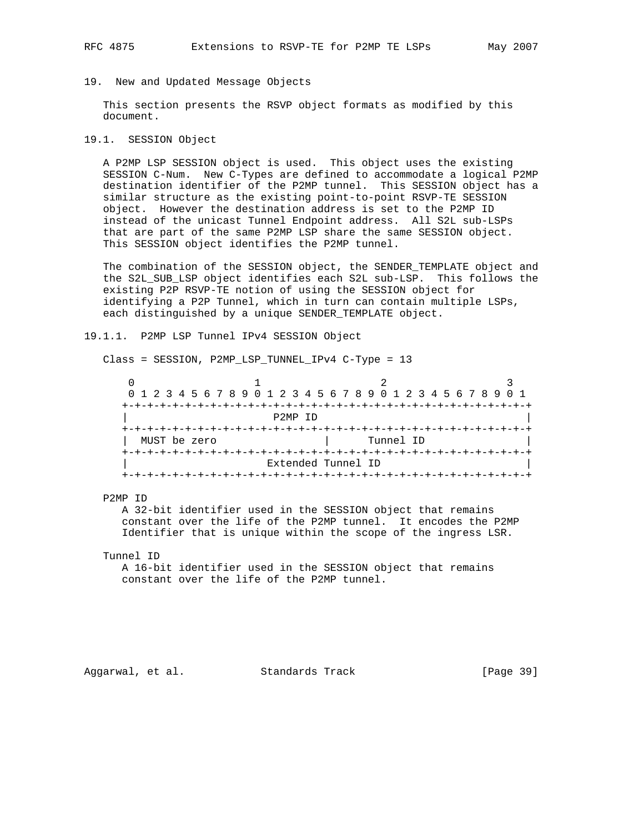#### 19. New and Updated Message Objects

 This section presents the RSVP object formats as modified by this document.

#### 19.1. SESSION Object

 A P2MP LSP SESSION object is used. This object uses the existing SESSION C-Num. New C-Types are defined to accommodate a logical P2MP destination identifier of the P2MP tunnel. This SESSION object has a similar structure as the existing point-to-point RSVP-TE SESSION object. However the destination address is set to the P2MP ID instead of the unicast Tunnel Endpoint address. All S2L sub-LSPs that are part of the same P2MP LSP share the same SESSION object. This SESSION object identifies the P2MP tunnel.

 The combination of the SESSION object, the SENDER\_TEMPLATE object and the S2L\_SUB\_LSP object identifies each S2L sub-LSP. This follows the existing P2P RSVP-TE notion of using the SESSION object for identifying a P2P Tunnel, which in turn can contain multiple LSPs, each distinguished by a unique SENDER\_TEMPLATE object.

#### 19.1.1. P2MP LSP Tunnel IPv4 SESSION Object

Class = SESSION, P2MP\_LSP\_TUNNEL\_IPv4 C-Type = 13

|              |                      | 0 1 2 3 4 5 6 7 8 9 0 1 2 3 4 5 6 7 8 9 0 1 2 3 4 5 6 7 8 9 0 1 |  |
|--------------|----------------------|-----------------------------------------------------------------|--|
|              |                      |                                                                 |  |
|              | P <sub>2</sub> MP TD |                                                                 |  |
|              |                      |                                                                 |  |
| MUST be zero |                      | Tunnel ID                                                       |  |
|              |                      |                                                                 |  |
|              |                      | Extended Tunnel ID                                              |  |
|              |                      |                                                                 |  |

#### P2MP ID

 A 32-bit identifier used in the SESSION object that remains constant over the life of the P2MP tunnel. It encodes the P2MP Identifier that is unique within the scope of the ingress LSR.

#### Tunnel ID

 A 16-bit identifier used in the SESSION object that remains constant over the life of the P2MP tunnel.

Aggarwal, et al. Standards Track [Page 39]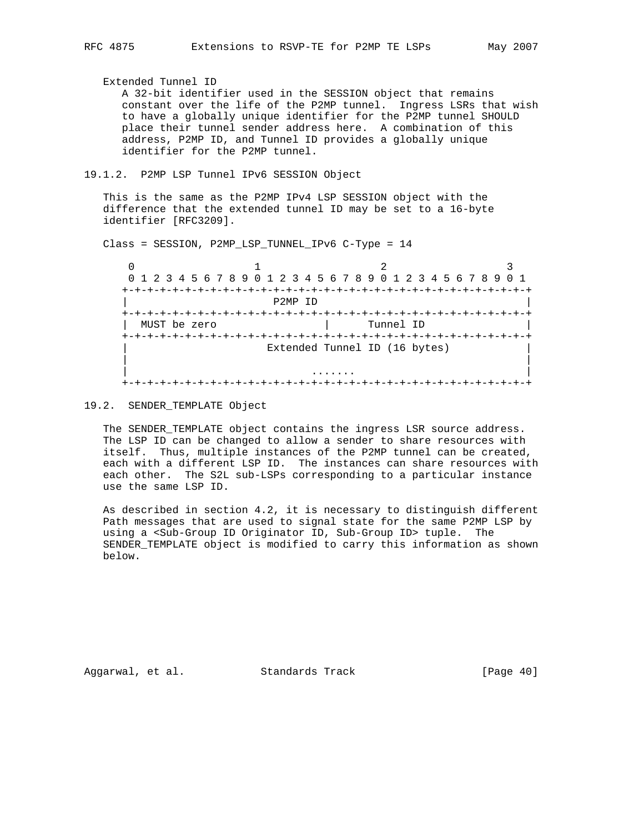Extended Tunnel ID A 32-bit identifier used in the SESSION object that remains constant over the life of the P2MP tunnel. Ingress LSRs that wish to have a globally unique identifier for the P2MP tunnel SHOULD place their tunnel sender address here. A combination of this address, P2MP ID, and Tunnel ID provides a globally unique identifier for the P2MP tunnel.

19.1.2. P2MP LSP Tunnel IPv6 SESSION Object

 This is the same as the P2MP IPv4 LSP SESSION object with the difference that the extended tunnel ID may be set to a 16-byte identifier [RFC3209].

Class = SESSION, P2MP\_LSP\_TUNNEL\_IPv6 C-Type = 14

 $0$  1 2 3 0 1 2 3 4 5 6 7 8 9 0 1 2 3 4 5 6 7 8 9 0 1 2 3 4 5 6 7 8 9 0 1 +-+-+-+-+-+-+-+-+-+-+-+-+-+-+-+-+-+-+-+-+-+-+-+-+-+-+-+-+-+-+-+-+ | P2MP ID | +-+-+-+-+-+-+-+-+-+-+-+-+-+-+-+-+-+-+-+-+-+-+-+-+-+-+-+-+-+-+-+-+ MUST be zero  $\vert$  Tunnel ID +-+-+-+-+-+-+-+-+-+-+-+-+-+-+-+-+-+-+-+-+-+-+-+-+-+-+-+-+-+-+-+-+ Extended Tunnel ID (16 bytes) | | | ....... | +-+-+-+-+-+-+-+-+-+-+-+-+-+-+-+-+-+-+-+-+-+-+-+-+-+-+-+-+-+-+-+-+

19.2. SENDER\_TEMPLATE Object

 The SENDER\_TEMPLATE object contains the ingress LSR source address. The LSP ID can be changed to allow a sender to share resources with itself. Thus, multiple instances of the P2MP tunnel can be created, each with a different LSP ID. The instances can share resources with each other. The S2L sub-LSPs corresponding to a particular instance use the same LSP ID.

 As described in section 4.2, it is necessary to distinguish different Path messages that are used to signal state for the same P2MP LSP by using a <Sub-Group ID Originator ID, Sub-Group ID> tuple. The SENDER\_TEMPLATE object is modified to carry this information as shown below.

Aggarwal, et al. Standards Track [Page 40]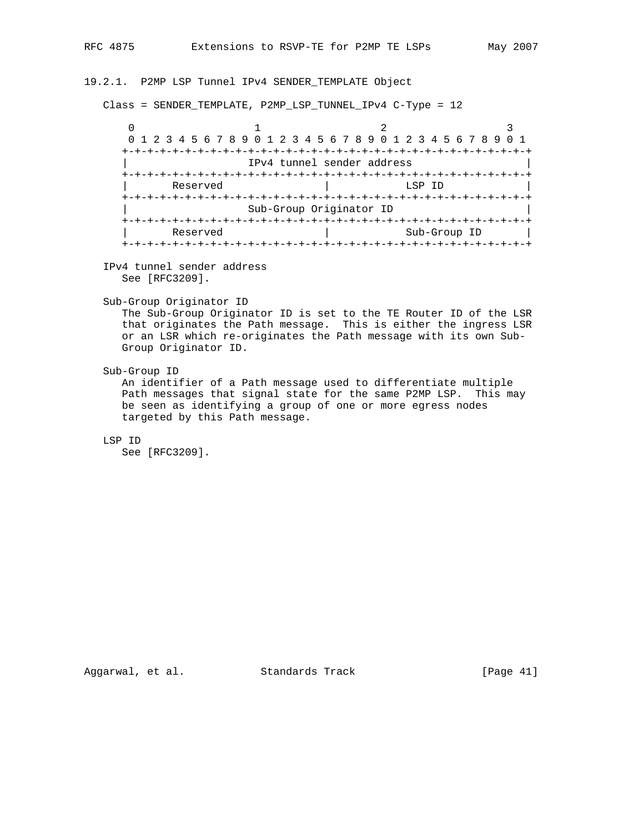## 19.2.1. P2MP LSP Tunnel IPv4 SENDER\_TEMPLATE Object

Class = SENDER\_TEMPLATE, P2MP\_LSP\_TUNNEL\_IPv4 C-Type = 12

 $0$  1 2 3 0 1 2 3 4 5 6 7 8 9 0 1 2 3 4 5 6 7 8 9 0 1 2 3 4 5 6 7 8 9 0 1 +-+-+-+-+-+-+-+-+-+-+-+-+-+-+-+-+-+-+-+-+-+-+-+-+-+-+-+-+-+-+-+-+ | IPv4 tunnel sender address | +-+-+-+-+-+-+-+-+-+-+-+-+-+-+-+-+-+-+-+-+-+-+-+-+-+-+-+-+-+-+-+-+ Reserved and the set of the set of the set of the set of the set of the set of the set of the set of the set o +-+-+-+-+-+-+-+-+-+-+-+-+-+-+-+-+-+-+-+-+-+-+-+-+-+-+-+-+-+-+-+-+ Sub-Group Originator ID +-+-+-+-+-+-+-+-+-+-+-+-+-+-+-+-+-+-+-+-+-+-+-+-+-+-+-+-+-+-+-+-+ | Reserved | Sub-Group ID +-+-+-+-+-+-+-+-+-+-+-+-+-+-+-+-+-+-+-+-+-+-+-+-+-+-+-+-+-+-+-+-+

 IPv4 tunnel sender address See [RFC3209].

Sub-Group Originator ID

 The Sub-Group Originator ID is set to the TE Router ID of the LSR that originates the Path message. This is either the ingress LSR or an LSR which re-originates the Path message with its own Sub- Group Originator ID.

Sub-Group ID

 An identifier of a Path message used to differentiate multiple Path messages that signal state for the same P2MP LSP. This may be seen as identifying a group of one or more egress nodes targeted by this Path message.

LSP ID

See [RFC3209].

Aggarwal, et al. Standards Track [Page 41]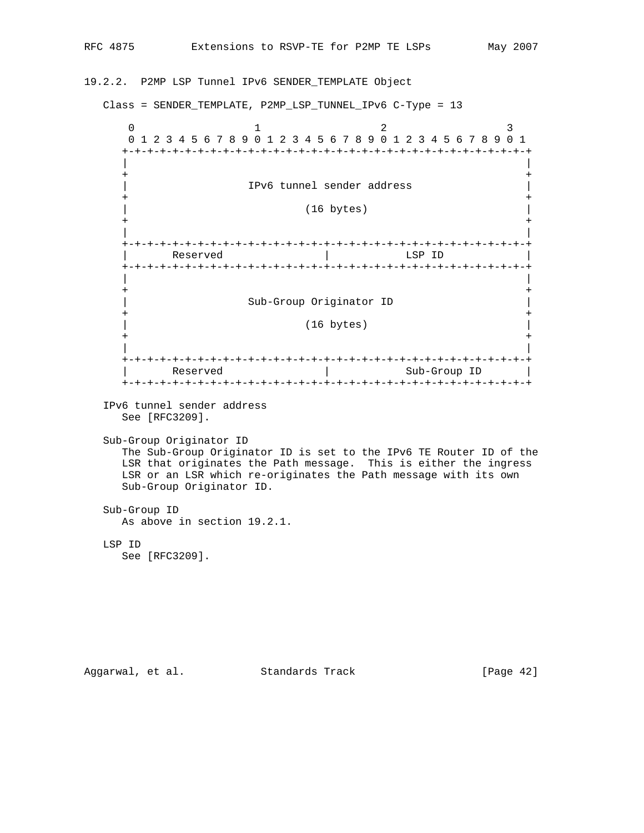# 19.2.2. P2MP LSP Tunnel IPv6 SENDER\_TEMPLATE Object

Class = SENDER\_TEMPLATE, P2MP\_LSP\_TUNNEL\_IPv6 C-Type = 13

 $0$  1 2 3 0 1 2 3 4 5 6 7 8 9 0 1 2 3 4 5 6 7 8 9 0 1 2 3 4 5 6 7 8 9 0 1 +-+-+-+-+-+-+-+-+-+-+-+-+-+-+-+-+-+-+-+-+-+-+-+-+-+-+-+-+-+-+-+-+ | | + + | IPv6 tunnel sender address | + + | (16 bytes) | + + | | +-+-+-+-+-+-+-+-+-+-+-+-+-+-+-+-+-+-+-+-+-+-+-+-+-+-+-+-+-+-+-+-+ Reserved | LSP ID +-+-+-+-+-+-+-+-+-+-+-+-+-+-+-+-+-+-+-+-+-+-+-+-+-+-+-+-+-+-+-+-+ | | + + | Sub-Group Originator ID | + + | (16 bytes) | + + | | +-+-+-+-+-+-+-+-+-+-+-+-+-+-+-+-+-+-+-+-+-+-+-+-+-+-+-+-+-+-+-+-+ Reserved  $|\hspace{.1cm} \text{Sub-Group ID}$  +-+-+-+-+-+-+-+-+-+-+-+-+-+-+-+-+-+-+-+-+-+-+-+-+-+-+-+-+-+-+-+-+ IPv6 tunnel sender address See [RFC3209]. Sub-Group Originator ID The Sub-Group Originator ID is set to the IPv6 TE Router ID of the LSR that originates the Path message. This is either the ingress LSR or an LSR which re-originates the Path message with its own Sub-Group Originator ID. Sub-Group ID As above in section 19.2.1. LSP ID See [RFC3209].

Aggarwal, et al. Standards Track [Page 42]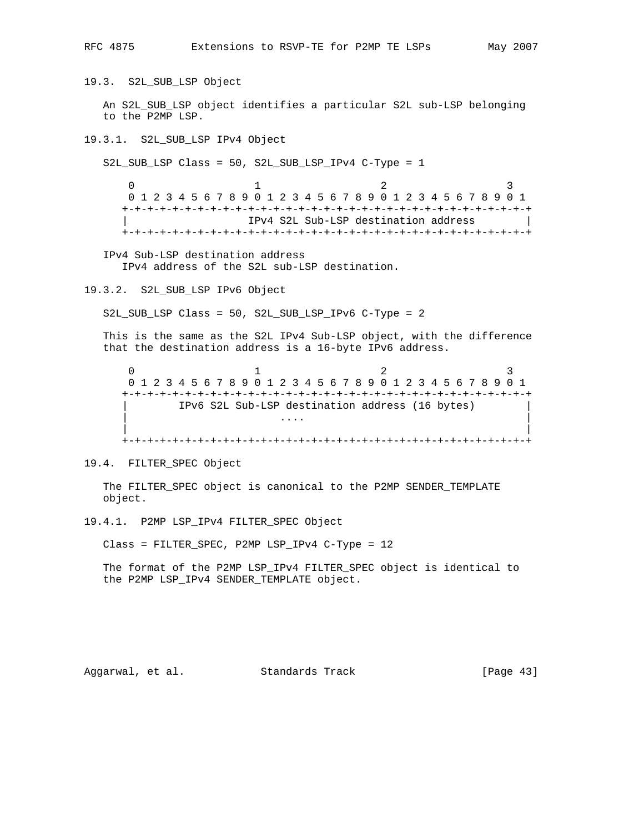19.3. S2L\_SUB\_LSP Object

 An S2L\_SUB\_LSP object identifies a particular S2L sub-LSP belonging to the P2MP LSP.

19.3.1. S2L\_SUB\_LSP IPv4 Object

S2L\_SUB\_LSP Class = 50, S2L\_SUB\_LSP\_IPv4 C-Type = 1

 $0$  1 2 3 0 1 2 3 4 5 6 7 8 9 0 1 2 3 4 5 6 7 8 9 0 1 2 3 4 5 6 7 8 9 0 1 +-+-+-+-+-+-+-+-+-+-+-+-+-+-+-+-+-+-+-+-+-+-+-+-+-+-+-+-+-+-+-+-+ | IPv4 S2L Sub-LSP destination address | +-+-+-+-+-+-+-+-+-+-+-+-+-+-+-+-+-+-+-+-+-+-+-+-+-+-+-+-+-+-+-+-+

 IPv4 Sub-LSP destination address IPv4 address of the S2L sub-LSP destination.

19.3.2. S2L\_SUB\_LSP IPv6 Object

S2L\_SUB\_LSP Class = 50, S2L\_SUB\_LSP\_IPv6 C-Type = 2

 This is the same as the S2L IPv4 Sub-LSP object, with the difference that the destination address is a 16-byte IPv6 address.

 $0$  1 2 3 0 1 2 3 4 5 6 7 8 9 0 1 2 3 4 5 6 7 8 9 0 1 2 3 4 5 6 7 8 9 0 1 +-+-+-+-+-+-+-+-+-+-+-+-+-+-+-+-+-+-+-+-+-+-+-+-+-+-+-+-+-+-+-+-+ IPv6 S2L Sub-LSP destination address (16 bytes) | .... | .... | .... | .... | .... | .... | .... | .... | .... | .... | .... | .... | .... | .... | .... | ... | | +-+-+-+-+-+-+-+-+-+-+-+-+-+-+-+-+-+-+-+-+-+-+-+-+-+-+-+-+-+-+-+-+

19.4. FILTER\_SPEC Object

 The FILTER\_SPEC object is canonical to the P2MP SENDER\_TEMPLATE object.

19.4.1. P2MP LSP\_IPv4 FILTER\_SPEC Object

Class = FILTER\_SPEC, P2MP LSP\_IPv4 C-Type = 12

 The format of the P2MP LSP\_IPv4 FILTER\_SPEC object is identical to the P2MP LSP\_IPv4 SENDER\_TEMPLATE object.

Aggarwal, et al. Standards Track [Page 43]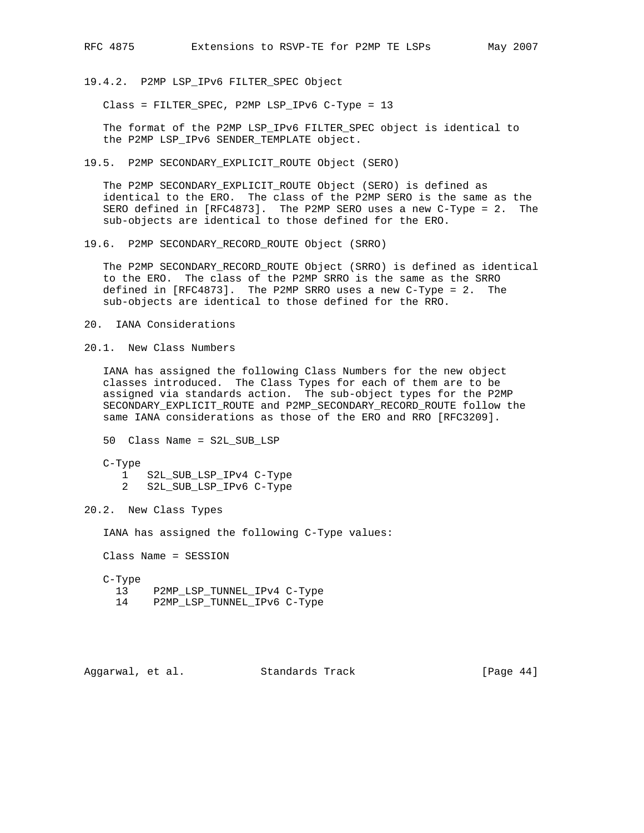19.4.2. P2MP LSP\_IPv6 FILTER\_SPEC Object

Class = FILTER\_SPEC, P2MP LSP\_IPv6 C-Type = 13

 The format of the P2MP LSP\_IPv6 FILTER\_SPEC object is identical to the P2MP LSP\_IPv6 SENDER\_TEMPLATE object.

19.5. P2MP SECONDARY\_EXPLICIT\_ROUTE Object (SERO)

 The P2MP SECONDARY\_EXPLICIT\_ROUTE Object (SERO) is defined as identical to the ERO. The class of the P2MP SERO is the same as the SERO defined in [RFC4873]. The P2MP SERO uses a new C-Type = 2. The sub-objects are identical to those defined for the ERO.

19.6. P2MP SECONDARY\_RECORD\_ROUTE Object (SRRO)

 The P2MP SECONDARY\_RECORD\_ROUTE Object (SRRO) is defined as identical to the ERO. The class of the P2MP SRRO is the same as the SRRO defined in [RFC4873]. The P2MP SRRO uses a new C-Type = 2. The sub-objects are identical to those defined for the RRO.

- 20. IANA Considerations
- 20.1. New Class Numbers

 IANA has assigned the following Class Numbers for the new object classes introduced. The Class Types for each of them are to be assigned via standards action. The sub-object types for the P2MP SECONDARY\_EXPLICIT\_ROUTE and P2MP\_SECONDARY\_RECORD\_ROUTE follow the same IANA considerations as those of the ERO and RRO [RFC3209].

```
 50 Class Name = S2L_SUB_LSP
```
- C-Type
	- 1 S2L\_SUB\_LSP\_IPv4 C-Type
	- 2 S2L\_SUB\_LSP\_IPv6 C-Type

20.2. New Class Types

IANA has assigned the following C-Type values:

Class Name = SESSION

C-Type

13 P2MP\_LSP\_TUNNEL\_IPv4 C-Type

14 P2MP\_LSP\_TUNNEL\_IPv6 C-Type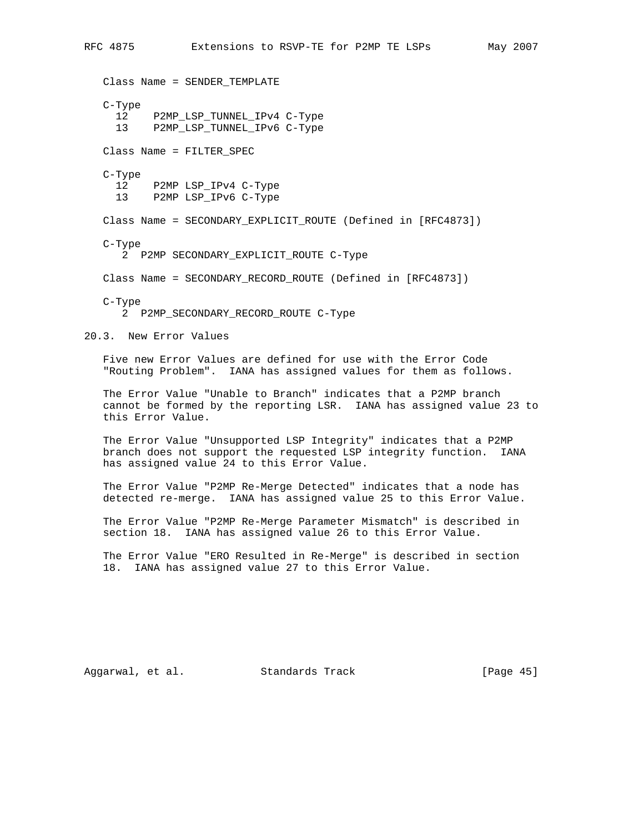```
RFC 4875 Extensions to RSVP-TE for P2MP TE LSPs May 2007
    Class Name = SENDER_TEMPLATE
    C-Type
     12 P2MP LSP TUNNEL IPv4 C-Type
      13 P2MP_LSP_TUNNEL_IPv6 C-Type
    Class Name = FILTER_SPEC
    C-Type
     12 P2MP LSP_IPv4 C-Type
      13 P2MP LSP_IPv6 C-Type
    Class Name = SECONDARY_EXPLICIT_ROUTE (Defined in [RFC4873])
    C-Type
       2 P2MP SECONDARY_EXPLICIT_ROUTE C-Type
    Class Name = SECONDARY_RECORD_ROUTE (Defined in [RFC4873])
    C-Type
       2 P2MP_SECONDARY_RECORD_ROUTE C-Type
20.3. New Error Values
    Five new Error Values are defined for use with the Error Code
    "Routing Problem". IANA has assigned values for them as follows.
    The Error Value "Unable to Branch" indicates that a P2MP branch
    cannot be formed by the reporting LSR. IANA has assigned value 23 to
    this Error Value.
    The Error Value "Unsupported LSP Integrity" indicates that a P2MP
   branch does not support the requested LSP integrity function. IANA
   has assigned value 24 to this Error Value.
    The Error Value "P2MP Re-Merge Detected" indicates that a node has
    detected re-merge. IANA has assigned value 25 to this Error Value.
    The Error Value "P2MP Re-Merge Parameter Mismatch" is described in
    section 18. IANA has assigned value 26 to this Error Value.
    The Error Value "ERO Resulted in Re-Merge" is described in section
    18. IANA has assigned value 27 to this Error Value.
```
Aggarwal, et al. Standards Track [Page 45]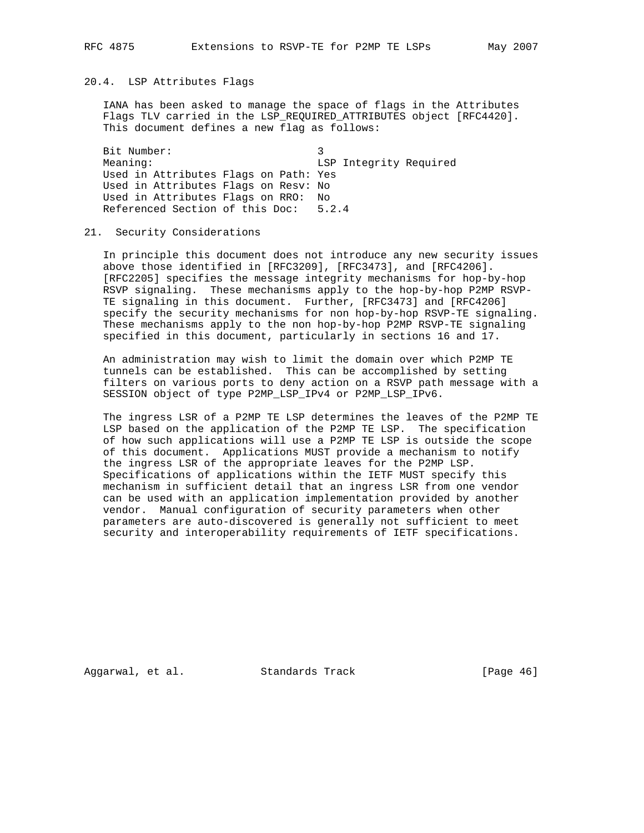## 20.4. LSP Attributes Flags

 IANA has been asked to manage the space of flags in the Attributes Flags TLV carried in the LSP REQUIRED ATTRIBUTES object [RFC4420]. This document defines a new flag as follows:

Bit Number: 3 Meaning: The Meaning: ESP Integrity Required Used in Attributes Flags on Path: Yes Used in Attributes Flags on Resv: No Used in Attributes Flags on RRO: No Referenced Section of this Doc: 5.2.4

#### 21. Security Considerations

 In principle this document does not introduce any new security issues above those identified in [RFC3209], [RFC3473], and [RFC4206]. [RFC2205] specifies the message integrity mechanisms for hop-by-hop RSVP signaling. These mechanisms apply to the hop-by-hop P2MP RSVP- TE signaling in this document. Further, [RFC3473] and [RFC4206] specify the security mechanisms for non hop-by-hop RSVP-TE signaling. These mechanisms apply to the non hop-by-hop P2MP RSVP-TE signaling specified in this document, particularly in sections 16 and 17.

 An administration may wish to limit the domain over which P2MP TE tunnels can be established. This can be accomplished by setting filters on various ports to deny action on a RSVP path message with a SESSION object of type P2MP\_LSP\_IPv4 or P2MP\_LSP\_IPv6.

 The ingress LSR of a P2MP TE LSP determines the leaves of the P2MP TE LSP based on the application of the P2MP TE LSP. The specification of how such applications will use a P2MP TE LSP is outside the scope of this document. Applications MUST provide a mechanism to notify the ingress LSR of the appropriate leaves for the P2MP LSP. Specifications of applications within the IETF MUST specify this mechanism in sufficient detail that an ingress LSR from one vendor can be used with an application implementation provided by another vendor. Manual configuration of security parameters when other parameters are auto-discovered is generally not sufficient to meet security and interoperability requirements of IETF specifications.

Aggarwal, et al. Standards Track [Page 46]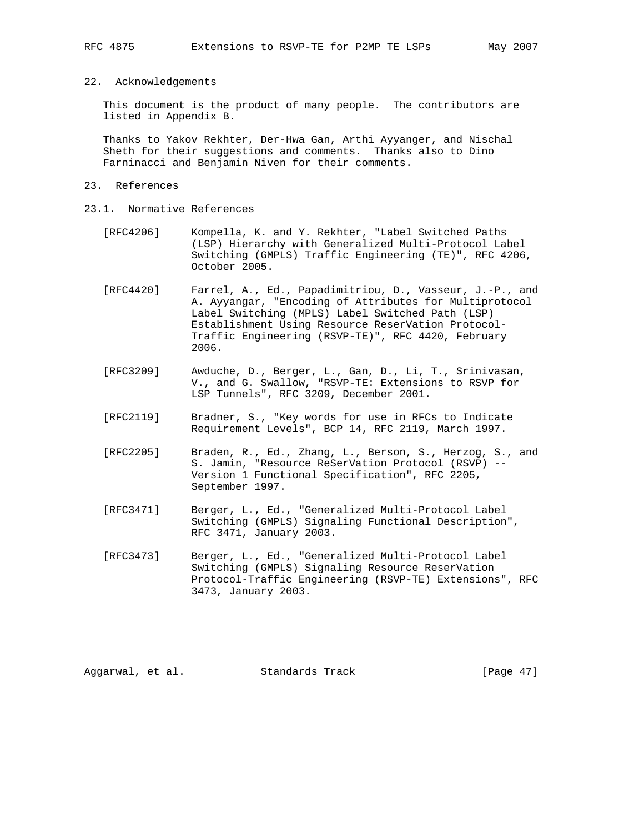## 22. Acknowledgements

 This document is the product of many people. The contributors are listed in Appendix B.

 Thanks to Yakov Rekhter, Der-Hwa Gan, Arthi Ayyanger, and Nischal Sheth for their suggestions and comments. Thanks also to Dino Farninacci and Benjamin Niven for their comments.

## 23. References

- 23.1. Normative References
	- [RFC4206] Kompella, K. and Y. Rekhter, "Label Switched Paths (LSP) Hierarchy with Generalized Multi-Protocol Label Switching (GMPLS) Traffic Engineering (TE)", RFC 4206, October 2005.
	- [RFC4420] Farrel, A., Ed., Papadimitriou, D., Vasseur, J.-P., and A. Ayyangar, "Encoding of Attributes for Multiprotocol Label Switching (MPLS) Label Switched Path (LSP) Establishment Using Resource ReserVation Protocol- Traffic Engineering (RSVP-TE)", RFC 4420, February 2006.
- [RFC3209] Awduche, D., Berger, L., Gan, D., Li, T., Srinivasan, V., and G. Swallow, "RSVP-TE: Extensions to RSVP for LSP Tunnels", RFC 3209, December 2001.
	- [RFC2119] Bradner, S., "Key words for use in RFCs to Indicate Requirement Levels", BCP 14, RFC 2119, March 1997.
	- [RFC2205] Braden, R., Ed., Zhang, L., Berson, S., Herzog, S., and S. Jamin, "Resource ReSerVation Protocol (RSVP) -- Version 1 Functional Specification", RFC 2205, September 1997.
	- [RFC3471] Berger, L., Ed., "Generalized Multi-Protocol Label Switching (GMPLS) Signaling Functional Description", RFC 3471, January 2003.
	- [RFC3473] Berger, L., Ed., "Generalized Multi-Protocol Label Switching (GMPLS) Signaling Resource ReserVation Protocol-Traffic Engineering (RSVP-TE) Extensions", RFC 3473, January 2003.

Aggarwal, et al. Standards Track [Page 47]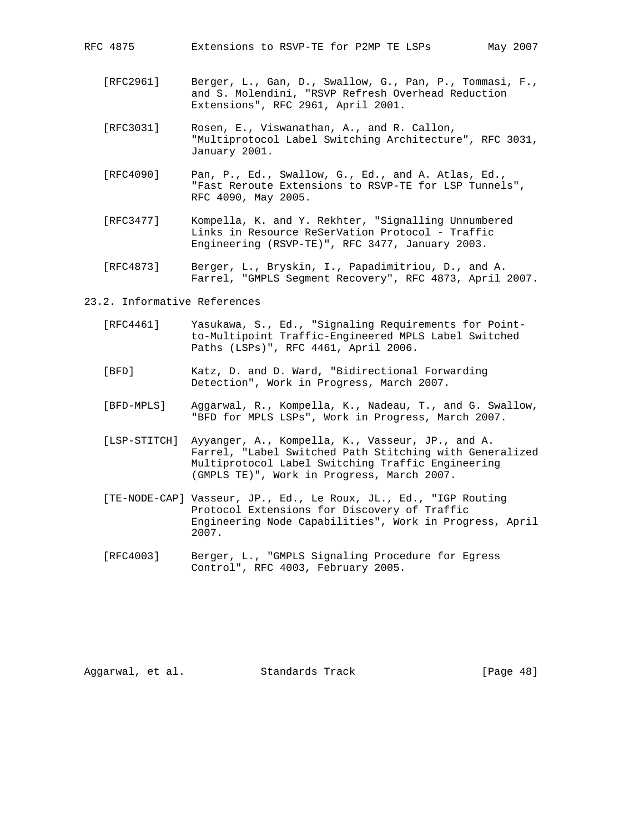- [RFC2961] Berger, L., Gan, D., Swallow, G., Pan, P., Tommasi, F., and S. Molendini, "RSVP Refresh Overhead Reduction Extensions", RFC 2961, April 2001.
- [RFC3031] Rosen, E., Viswanathan, A., and R. Callon, "Multiprotocol Label Switching Architecture", RFC 3031, January 2001.
- [RFC4090] Pan, P., Ed., Swallow, G., Ed., and A. Atlas, Ed., "Fast Reroute Extensions to RSVP-TE for LSP Tunnels", RFC 4090, May 2005.
- [RFC3477] Kompella, K. and Y. Rekhter, "Signalling Unnumbered Links in Resource ReSerVation Protocol - Traffic Engineering (RSVP-TE)", RFC 3477, January 2003.
- [RFC4873] Berger, L., Bryskin, I., Papadimitriou, D., and A. Farrel, "GMPLS Segment Recovery", RFC 4873, April 2007.

#### 23.2. Informative References

- [RFC4461] Yasukawa, S., Ed., "Signaling Requirements for Point to-Multipoint Traffic-Engineered MPLS Label Switched Paths (LSPs)", RFC 4461, April 2006.
- [BFD] Katz, D. and D. Ward, "Bidirectional Forwarding Detection", Work in Progress, March 2007.
- [BFD-MPLS] Aggarwal, R., Kompella, K., Nadeau, T., and G. Swallow, "BFD for MPLS LSPs", Work in Progress, March 2007.
- [LSP-STITCH] Ayyanger, A., Kompella, K., Vasseur, JP., and A. Farrel, "Label Switched Path Stitching with Generalized Multiprotocol Label Switching Traffic Engineering (GMPLS TE)", Work in Progress, March 2007.
- [TE-NODE-CAP] Vasseur, JP., Ed., Le Roux, JL., Ed., "IGP Routing Protocol Extensions for Discovery of Traffic Engineering Node Capabilities", Work in Progress, April 2007.
- [RFC4003] Berger, L., "GMPLS Signaling Procedure for Egress Control", RFC 4003, February 2005.

Aggarwal, et al. Standards Track [Page 48]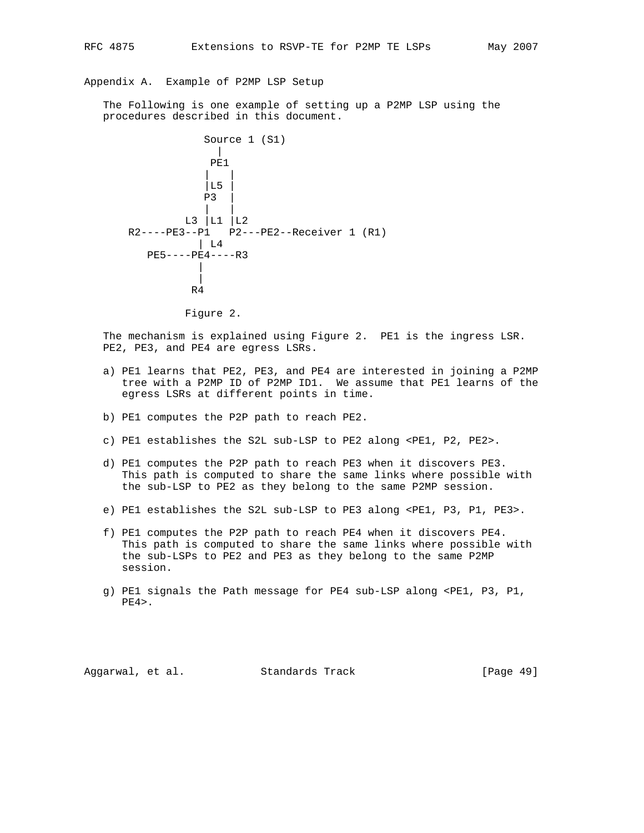Appendix A. Example of P2MP LSP Setup

 The Following is one example of setting up a P2MP LSP using the procedures described in this document.



Figure 2.

 The mechanism is explained using Figure 2. PE1 is the ingress LSR. PE2, PE3, and PE4 are egress LSRs.

- a) PE1 learns that PE2, PE3, and PE4 are interested in joining a P2MP tree with a P2MP ID of P2MP ID1. We assume that PE1 learns of the egress LSRs at different points in time.
- b) PE1 computes the P2P path to reach PE2.
- c) PE1 establishes the S2L sub-LSP to PE2 along <PE1, P2, PE2>.
- d) PE1 computes the P2P path to reach PE3 when it discovers PE3. This path is computed to share the same links where possible with the sub-LSP to PE2 as they belong to the same P2MP session.
- e) PE1 establishes the S2L sub-LSP to PE3 along <PE1, P3, P1, PE3>.
- f) PE1 computes the P2P path to reach PE4 when it discovers PE4. This path is computed to share the same links where possible with the sub-LSPs to PE2 and PE3 as they belong to the same P2MP session.
- g) PE1 signals the Path message for PE4 sub-LSP along <PE1, P3, P1,  $PE4$ .

Aggarwal, et al. Standards Track [Page 49]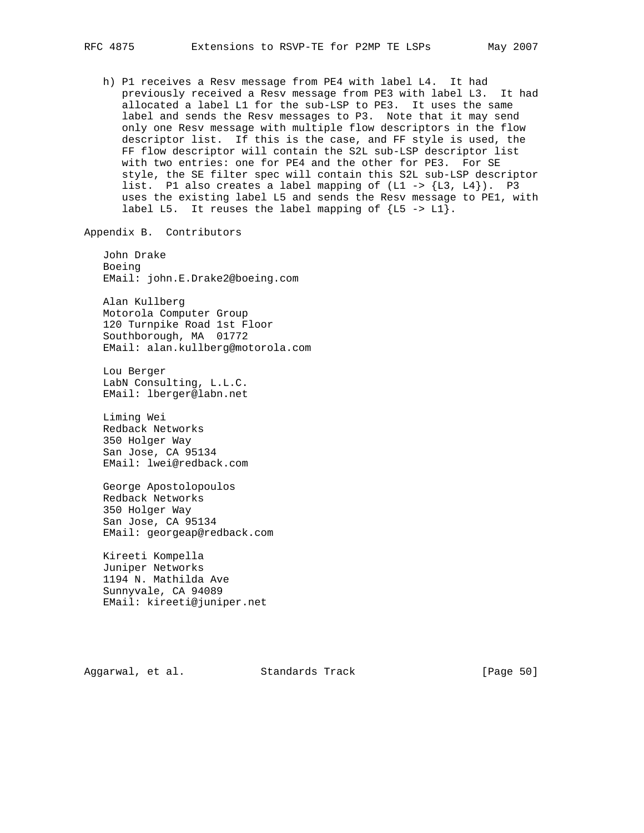h) P1 receives a Resv message from PE4 with label L4. It had previously received a Resv message from PE3 with label L3. It had allocated a label L1 for the sub-LSP to PE3. It uses the same label and sends the Resv messages to P3. Note that it may send only one Resv message with multiple flow descriptors in the flow descriptor list. If this is the case, and FF style is used, the FF flow descriptor will contain the S2L sub-LSP descriptor list with two entries: one for PE4 and the other for PE3. For SE style, the SE filter spec will contain this S2L sub-LSP descriptor list. P1 also creates a label mapping of  $(L1 - > {L3, L4})$ . P3 uses the existing label L5 and sends the Resv message to PE1, with label L5. It reuses the label mapping of  $\{L5 \rightarrow L1\}$ .

Appendix B. Contributors

 John Drake Boeing EMail: john.E.Drake2@boeing.com

 Alan Kullberg Motorola Computer Group 120 Turnpike Road 1st Floor Southborough, MA 01772 EMail: alan.kullberg@motorola.com

 Lou Berger LabN Consulting, L.L.C. EMail: lberger@labn.net

 Liming Wei Redback Networks 350 Holger Way San Jose, CA 95134 EMail: lwei@redback.com

 George Apostolopoulos Redback Networks 350 Holger Way San Jose, CA 95134 EMail: georgeap@redback.com

 Kireeti Kompella Juniper Networks 1194 N. Mathilda Ave Sunnyvale, CA 94089 EMail: kireeti@juniper.net

Aggarwal, et al. Standards Track [Page 50]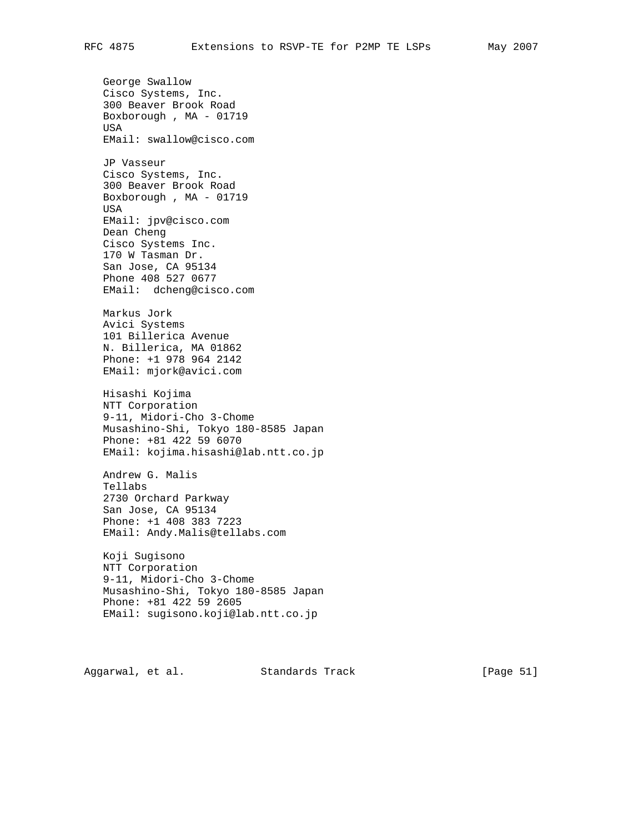George Swallow Cisco Systems, Inc. 300 Beaver Brook Road Boxborough , MA - 01719 USA EMail: swallow@cisco.com JP Vasseur Cisco Systems, Inc. 300 Beaver Brook Road Boxborough , MA - 01719 USA EMail: jpv@cisco.com Dean Cheng Cisco Systems Inc. 170 W Tasman Dr. San Jose, CA 95134 Phone 408 527 0677 EMail: dcheng@cisco.com Markus Jork Avici Systems 101 Billerica Avenue N. Billerica, MA 01862 Phone: +1 978 964 2142 EMail: mjork@avici.com Hisashi Kojima NTT Corporation 9-11, Midori-Cho 3-Chome Musashino-Shi, Tokyo 180-8585 Japan Phone: +81 422 59 6070 EMail: kojima.hisashi@lab.ntt.co.jp Andrew G. Malis Tellabs 2730 Orchard Parkway San Jose, CA 95134 Phone: +1 408 383 7223 EMail: Andy.Malis@tellabs.com Koji Sugisono NTT Corporation 9-11, Midori-Cho 3-Chome Musashino-Shi, Tokyo 180-8585 Japan Phone: +81 422 59 2605 EMail: sugisono.koji@lab.ntt.co.jp

Aggarwal, et al. Standards Track [Page 51]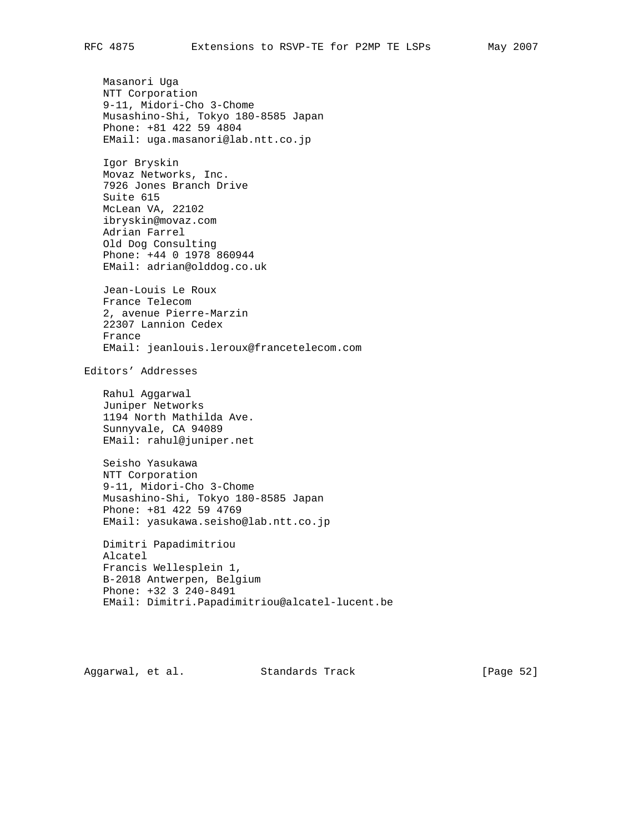Masanori Uga NTT Corporation 9-11, Midori-Cho 3-Chome Musashino-Shi, Tokyo 180-8585 Japan Phone: +81 422 59 4804 EMail: uga.masanori@lab.ntt.co.jp Igor Bryskin Movaz Networks, Inc. 7926 Jones Branch Drive Suite 615 McLean VA, 22102 ibryskin@movaz.com Adrian Farrel Old Dog Consulting Phone: +44 0 1978 860944 EMail: adrian@olddog.co.uk Jean-Louis Le Roux France Telecom 2, avenue Pierre-Marzin 22307 Lannion Cedex France EMail: jeanlouis.leroux@francetelecom.com Editors' Addresses Rahul Aggarwal Juniper Networks 1194 North Mathilda Ave. Sunnyvale, CA 94089 EMail: rahul@juniper.net Seisho Yasukawa NTT Corporation 9-11, Midori-Cho 3-Chome Musashino-Shi, Tokyo 180-8585 Japan Phone: +81 422 59 4769 EMail: yasukawa.seisho@lab.ntt.co.jp

 Dimitri Papadimitriou Alcatel Francis Wellesplein 1, B-2018 Antwerpen, Belgium Phone: +32 3 240-8491 EMail: Dimitri.Papadimitriou@alcatel-lucent.be

Aggarwal, et al. Standards Track [Page 52]